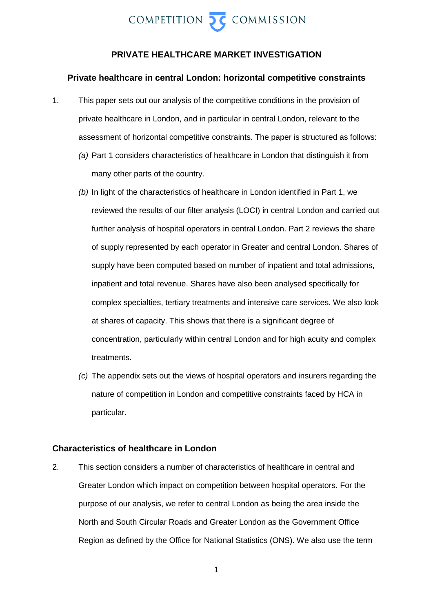

### **PRIVATE HEALTHCARE MARKET INVESTIGATION**

#### **Private healthcare in central London: horizontal competitive constraints**

- 1. This paper sets out our analysis of the competitive conditions in the provision of private healthcare in London, and in particular in central London, relevant to the assessment of horizontal competitive constraints. The paper is structured as follows:
	- *(a)* Part 1 considers characteristics of healthcare in London that distinguish it from many other parts of the country.
	- *(b)* In light of the characteristics of healthcare in London identified in Part 1, we reviewed the results of our filter analysis (LOCI) in central London and carried out further analysis of hospital operators in central London. Part 2 reviews the share of supply represented by each operator in Greater and central London. Shares of supply have been computed based on number of inpatient and total admissions, inpatient and total revenue. Shares have also been analysed specifically for complex specialties, tertiary treatments and intensive care services. We also look at shares of capacity. This shows that there is a significant degree of concentration, particularly within central London and for high acuity and complex treatments.
	- *(c)* The appendix sets out the views of hospital operators and insurers regarding the nature of competition in London and competitive constraints faced by HCA in particular.

### **Characteristics of healthcare in London**

2. This section considers a number of characteristics of healthcare in central and Greater London which impact on competition between hospital operators. For the purpose of our analysis, we refer to central London as being the area inside the North and South Circular Roads and Greater London as the Government Office Region as defined by the Office for National Statistics (ONS). We also use the term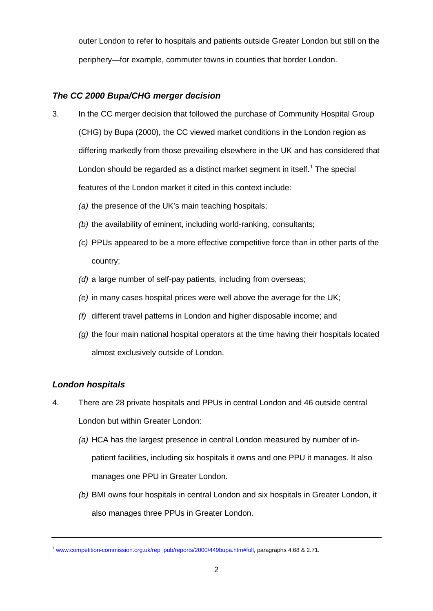outer London to refer to hospitals and patients outside Greater London but still on the periphery—for example, commuter towns in counties that border London.

# *The CC 2000 Bupa/CHG merger decision*

- 3. In the CC merger decision that followed the purchase of Community Hospital Group (CHG) by Bupa (2000), the CC viewed market conditions in the London region as differing markedly from those prevailing elsewhere in the UK and has considered that London should be regarded as a distinct market segment in itself.<sup>[1](#page-1-0)</sup> The special features of the London market it cited in this context include:
	- *(a)* the presence of the UK's main teaching hospitals;
	- *(b)* the availability of eminent, including world-ranking, consultants;
	- *(c)* PPUs appeared to be a more effective competitive force than in other parts of the country;
	- *(d)* a large number of self-pay patients, including from overseas;
	- *(e)* in many cases hospital prices were well above the average for the UK;
	- *(f)* different travel patterns in London and higher disposable income; and
	- *(g)* the four main national hospital operators at the time having their hospitals located almost exclusively outside of London.

### *London hospitals*

- 4. There are 28 private hospitals and PPUs in central London and 46 outside central London but within Greater London:
	- *(a)* HCA has the largest presence in central London measured by number of inpatient facilities, including six hospitals it owns and one PPU it manages. It also manages one PPU in Greater London.
	- *(b)* BMI owns four hospitals in central London and six hospitals in Greater London, it also manages three PPUs in Greater London.

<span id="page-1-0"></span><sup>1</sup> [www.competition-commission.org.uk/rep\\_pub/reports/2000/449bupa.htm#full,](http://www.competition-commission.org.uk/rep_pub/reports/2000/449bupa.htm#full) paragraphs 4.68 & 2.71.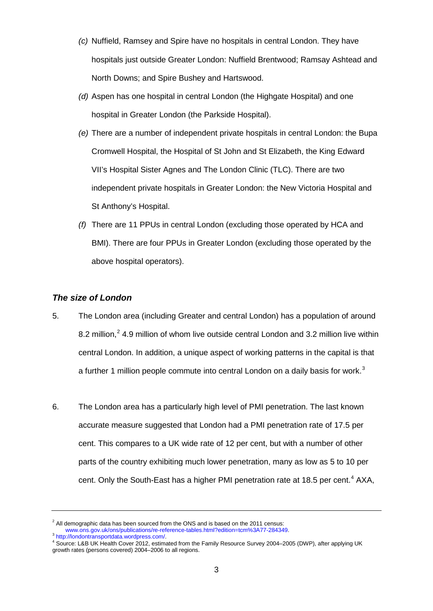- *(c)* Nuffield, Ramsey and Spire have no hospitals in central London. They have hospitals just outside Greater London: Nuffield Brentwood; Ramsay Ashtead and North Downs; and Spire Bushey and Hartswood.
- *(d)* Aspen has one hospital in central London (the Highgate Hospital) and one hospital in Greater London (the Parkside Hospital).
- *(e)* There are a number of independent private hospitals in central London: the Bupa Cromwell Hospital, the Hospital of St John and St Elizabeth, the King Edward VII's Hospital Sister Agnes and The London Clinic (TLC). There are two independent private hospitals in Greater London: the New Victoria Hospital and St Anthony's Hospital.
- *(f)* There are 11 PPUs in central London (excluding those operated by HCA and BMI). There are four PPUs in Greater London (excluding those operated by the above hospital operators).

### *The size of London*

- 5. The London area (including Greater and central London) has a population of around 8.[2](#page-2-0) million,<sup>2</sup> 4.9 million of whom live outside central London and 3.2 million live within central London. In addition, a unique aspect of working patterns in the capital is that a further 1 million people commute into central London on a daily basis for work.<sup>[3](#page-2-1)</sup>
- 6. The London area has a particularly high level of PMI penetration. The last known accurate measure suggested that London had a PMI penetration rate of 17.5 per cent. This compares to a UK wide rate of 12 per cent, but with a number of other parts of the country exhibiting much lower penetration, many as low as 5 to 10 per cent. Only the South-East has a higher PMI penetration rate at 18.5 per cent.<sup>[4](#page-2-2)</sup> AXA,

<span id="page-2-0"></span><sup>&</sup>lt;sup>2</sup> All demographic data has been sourced from the ONS and is based on the 2011 census:<br>www.ons.gov.uk/ons/publications/re-reference-tables.html?edition=tcm%3A77-284349.

<span id="page-2-2"></span><span id="page-2-1"></span><sup>3&</sup>lt;br>Attp://londontransportdata.wordpress.com/.<br>4 Source: L&B UK Health Cover 2012, estimated from the Family Resource Survey 2004–2005 (DWP), after applying UK growth rates (persons covered) 2004–2006 to all regions.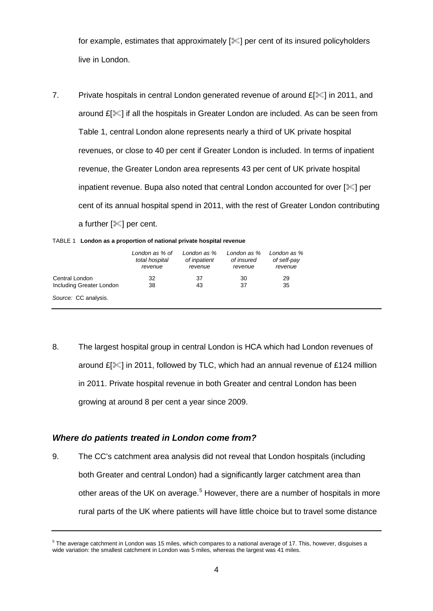for example, estimates that approximately  $[\mathcal{K}]$  per cent of its insured policyholders live in London.

7. Private hospitals in central London generated revenue of around £[ $\ll$ ] in 2011, and around  $E[\mathcal{K}]$  if all the hospitals in Greater London are included. As can be seen from Table 1, central London alone represents nearly a third of UK private hospital revenues, or close to 40 per cent if Greater London is included. In terms of inpatient revenue, the Greater London area represents 43 per cent of UK private hospital inpatient revenue. Bupa also noted that central London accounted for over  $[\mathscr{K}]$  per cent of its annual hospital spend in 2011, with the rest of Greater London contributing a further  $[\mathcal{K}]$  per cent.

|  |  | TABLE 1 London as a proportion of national private hospital revenue |
|--|--|---------------------------------------------------------------------|

|                          | London as % of<br>total hospital<br>revenue | London as %<br>of inpatient<br>revenue | London as %<br>of insured<br>revenue | London as %<br>of self-pay<br>revenue |
|--------------------------|---------------------------------------------|----------------------------------------|--------------------------------------|---------------------------------------|
| Central London           | 32                                          | 37                                     | 30                                   | 29                                    |
| Including Greater London | 38                                          | 43                                     | 37                                   | 35                                    |
| Source: CC analysis.     |                                             |                                        |                                      |                                       |

8. The largest hospital group in central London is HCA which had London revenues of around  $E[\mathcal{K}]$  in 2011, followed by TLC, which had an annual revenue of £124 million in 2011. Private hospital revenue in both Greater and central London has been growing at around 8 per cent a year since 2009.

### *Where do patients treated in London come from?*

9. The CC's catchment area analysis did not reveal that London hospitals (including both Greater and central London) had a significantly larger catchment area than other areas of the UK on average.<sup>[5](#page-3-0)</sup> However, there are a number of hospitals in more rural parts of the UK where patients will have little choice but to travel some distance

<span id="page-3-0"></span><sup>&</sup>lt;sup>5</sup> The average catchment in London was 15 miles, which compares to a national average of 17. This, however, disguises a wide variation: the smallest catchment in London was 5 miles, whereas the largest was 41 miles.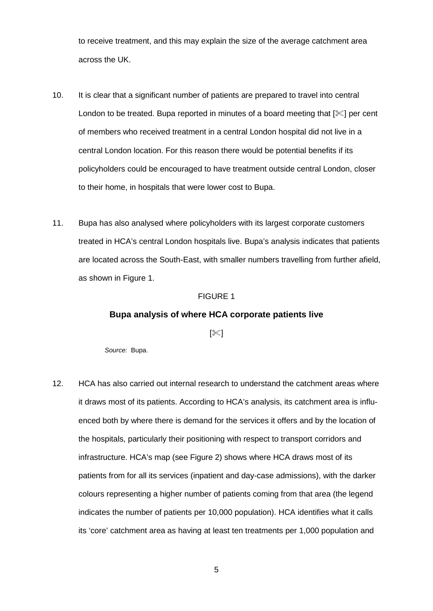to receive treatment, and this may explain the size of the average catchment area across the UK.

- 10. It is clear that a significant number of patients are prepared to travel into central London to be treated. Bupa reported in minutes of a board meeting that  $[\mathcal{K}]$  per cent of members who received treatment in a central London hospital did not live in a central London location. For this reason there would be potential benefits if its policyholders could be encouraged to have treatment outside central London, closer to their home, in hospitals that were lower cost to Bupa.
- 11. Bupa has also analysed where policyholders with its largest corporate customers treated in HCA's central London hospitals live. Bupa's analysis indicates that patients are located across the South-East, with smaller numbers travelling from further afield, as shown in Figure 1.

#### FIGURE 1

### **Bupa analysis of where HCA corporate patients live**

 $[\%]$ 

*Source:* Bupa.

12. HCA has also carried out internal research to understand the catchment areas where it draws most of its patients. According to HCA's analysis, its catchment area is influenced both by where there is demand for the services it offers and by the location of the hospitals, particularly their positioning with respect to transport corridors and infrastructure. HCA's map (see Figure 2) shows where HCA draws most of its patients from for all its services (inpatient and day-case admissions), with the darker colours representing a higher number of patients coming from that area (the legend indicates the number of patients per 10,000 population). HCA identifies what it calls its 'core' catchment area as having at least ten treatments per 1,000 population and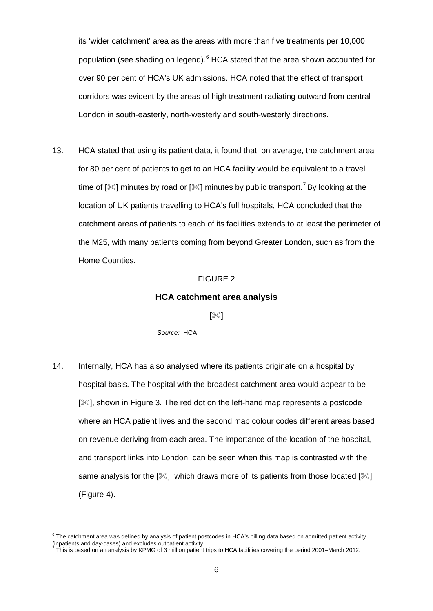its 'wider catchment' area as the areas with more than five treatments per 10,000 population (see shading on legend).<sup>[6](#page-5-0)</sup> HCA stated that the area shown accounted for over 90 per cent of HCA's UK admissions. HCA noted that the effect of transport corridors was evident by the areas of high treatment radiating outward from central London in south-easterly, north-westerly and south-westerly directions.

13. HCA stated that using its patient data, it found that, on average, the catchment area for 80 per cent of patients to get to an HCA facility would be equivalent to a travel time of [ $\ll$ ] minutes by road or [ $\ll$ ] minutes by public transport.<sup>[7](#page-5-1)</sup> By looking at the location of UK patients travelling to HCA's full hospitals, HCA concluded that the catchment areas of patients to each of its facilities extends to at least the perimeter of the M25, with many patients coming from beyond Greater London, such as from the Home Counties.

#### FIGURE 2

### **HCA catchment area analysis**

 $\approx$ ]

*Source:* HCA.

14. Internally, HCA has also analysed where its patients originate on a hospital by hospital basis. The hospital with the broadest catchment area would appear to be [ $\ll$ ], shown in Figure 3. The red dot on the left-hand map represents a postcode where an HCA patient lives and the second map colour codes different areas based on revenue deriving from each area. The importance of the location of the hospital, and transport links into London, can be seen when this map is contrasted with the same analysis for the  $[\mathcal{K}]$ , which draws more of its patients from those located  $[\mathcal{K}]$ (Figure 4).

<span id="page-5-0"></span> $6$  The catchment area was defined by analysis of patient postcodes in HCA's billing data based on admitted patient activity (inpatients and day-cases) and excludes outpatient activity.

<span id="page-5-1"></span>This is based on an analysis by KPMG of 3 million patient trips to HCA facilities covering the period 2001–March 2012.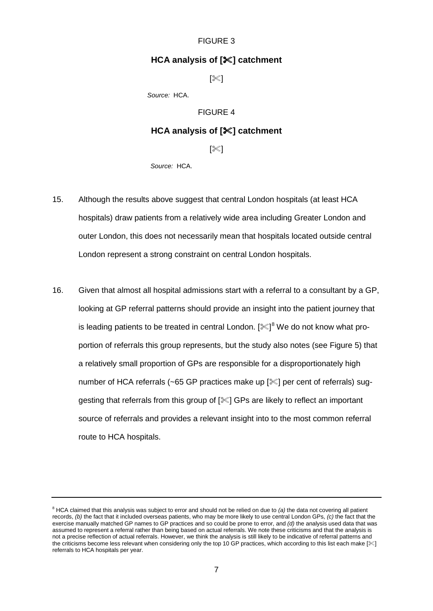### FIGURE 3

### **HCA analysis of [] catchment**

 $[\mathbb{K}]$ 

*Source:* HCA.

#### FIGURE 4

### **HCA analysis of [] catchment**

#### $[\mathbb{K}]$

*Source:* HCA.

- 15. Although the results above suggest that central London hospitals (at least HCA hospitals) draw patients from a relatively wide area including Greater London and outer London, this does not necessarily mean that hospitals located outside central London represent a strong constraint on central London hospitals.
- 16. Given that almost all hospital admissions start with a referral to a consultant by a GP, looking at GP referral patterns should provide an insight into the patient journey that is leading patients to be treated in central London. [ $\mathbb{X}]^8$  $\mathbb{X}]^8$  We do not know what proportion of referrals this group represents, but the study also notes (see Figure 5) that a relatively small proportion of GPs are responsible for a disproportionately high number of HCA referrals (~65 GP practices make up [ $\le$ ] per cent of referrals) suggesting that referrals from this group of  $[\mathcal{K}]$  GPs are likely to reflect an important source of referrals and provides a relevant insight into to the most common referral route to HCA hospitals.

<span id="page-6-0"></span><sup>8</sup> HCA claimed that this analysis was subject to error and should not be relied on due to *(a)* the data not covering all patient records, *(b)* the fact that it included overseas patients, who may be more likely to use central London GPs, *(c)* the fact that the exercise manually matched GP names to GP practices and so could be prone to error, and *(d)* the analysis used data that was assumed to represent a referral rather than being based on actual referrals. We note these criticisms and that the analysis is not a precise reflection of actual referrals. However, we think the analysis is still likely to be indicative of referral patterns and the criticisms become less relevant when considering only the top 10 GP practices, which according to this list each make [ $\ll$ ] referrals to HCA hospitals per year.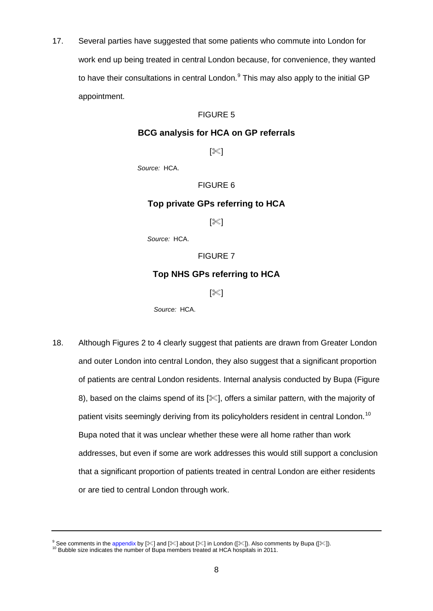17. Several parties have suggested that some patients who commute into London for work end up being treated in central London because, for convenience, they wanted to have their consultations in central London.<sup>[9](#page-7-0)</sup> This may also apply to the initial GP appointment.

### FIGURE 5

### **BCG analysis for HCA on GP referrals**

 $[\mathbb{X}]$ 

*Source:* HCA.

### FIGURE 6

### **Top private GPs referring to HCA**

 $[\mathbb{X}]$ 

*Source:* HCA.

FIGURE 7

### **Top NHS GPs referring to HCA**

 $[\mathbb{X}]$ 

*Source:* HCA.

18. Although Figures 2 to 4 clearly suggest that patients are drawn from Greater London and outer London into central London, they also suggest that a significant proportion of patients are central London residents. Internal analysis conducted by Bupa (Figure 8), based on the claims spend of its [ $\ll$ ], offers a similar pattern, with the majority of patient visits seemingly deriving from its policyholders resident in central London.<sup>[10](#page-7-1)</sup> Bupa noted that it was unclear whether these were all home rather than work addresses, but even if some are work addresses this would still support a conclusion that a significant proportion of patients treated in central London are either residents or are tied to central London through work.

<span id="page-7-0"></span><sup>&</sup>lt;sup>9</sup> See comments in the [appendix](#page-27-0) by [%] and [%] about [%] in London ([%]). Also comments by Bupa ([%]).<br><sup>10</sup> Bubble size indicates the number of Bupa members treated at HCA hospitals in 2011.

<span id="page-7-1"></span>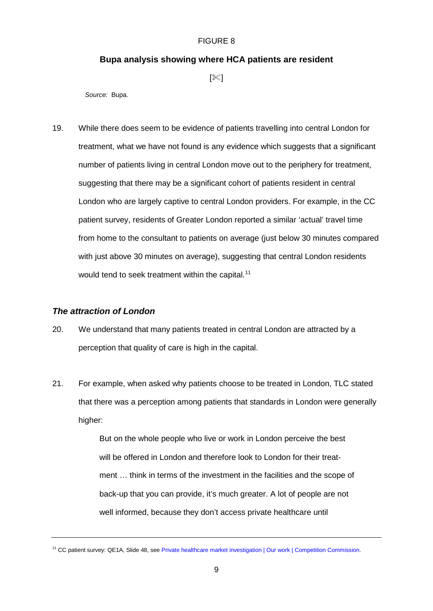#### FIGURE 8

### **Bupa analysis showing where HCA patients are resident**

 $[\mathbb{K}]$ 

*Source:* Bupa.

19. While there does seem to be evidence of patients travelling into central London for treatment, what we have not found is any evidence which suggests that a significant number of patients living in central London move out to the periphery for treatment, suggesting that there may be a significant cohort of patients resident in central London who are largely captive to central London providers. For example, in the CC patient survey, residents of Greater London reported a similar 'actual' travel time from home to the consultant to patients on average (just below 30 minutes compared with just above 30 minutes on average), suggesting that central London residents would tend to seek treatment within the capital.<sup>[11](#page-8-0)</sup>

### *The attraction of London*

- 20. We understand that many patients treated in central London are attracted by a perception that quality of care is high in the capital.
- 21. For example, when asked why patients choose to be treated in London, TLC stated that there was a perception among patients that standards in London were generally higher:

But on the whole people who live or work in London perceive the best will be offered in London and therefore look to London for their treatment … think in terms of the investment in the facilities and the scope of back-up that you can provide, it's much greater. A lot of people are not well informed, because they don't access private healthcare until

<span id="page-8-0"></span><sup>&</sup>lt;sup>11</sup> CC patient survey: QE1A, Slide 48, see [Private healthcare market investigation | Our work | Competition Commission.](http://www.competition-commission.org.uk/our-work/directory-of-all-inquiries/private-healthcare-market-investigation/analysis/surveys)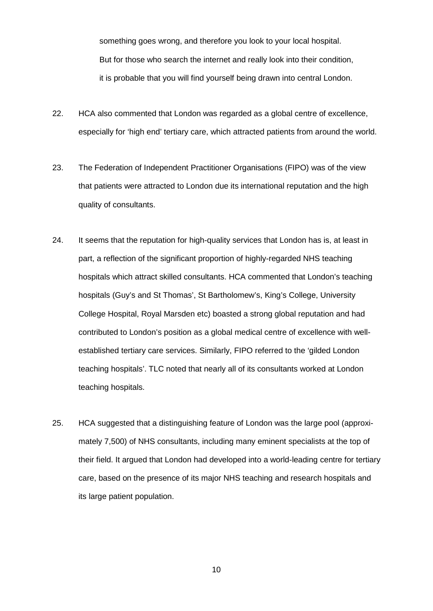something goes wrong, and therefore you look to your local hospital. But for those who search the internet and really look into their condition, it is probable that you will find yourself being drawn into central London.

- 22. HCA also commented that London was regarded as a global centre of excellence, especially for 'high end' tertiary care, which attracted patients from around the world.
- 23. The Federation of Independent Practitioner Organisations (FIPO) was of the view that patients were attracted to London due its international reputation and the high quality of consultants.
- 24. It seems that the reputation for high-quality services that London has is, at least in part, a reflection of the significant proportion of highly-regarded NHS teaching hospitals which attract skilled consultants. HCA commented that London's teaching hospitals (Guy's and St Thomas', St Bartholomew's, King's College, University College Hospital, Royal Marsden etc) boasted a strong global reputation and had contributed to London's position as a global medical centre of excellence with wellestablished tertiary care services. Similarly, FIPO referred to the 'gilded London teaching hospitals'. TLC noted that nearly all of its consultants worked at London teaching hospitals.
- 25. HCA suggested that a distinguishing feature of London was the large pool (approximately 7,500) of NHS consultants, including many eminent specialists at the top of their field. It argued that London had developed into a world-leading centre for tertiary care, based on the presence of its major NHS teaching and research hospitals and its large patient population.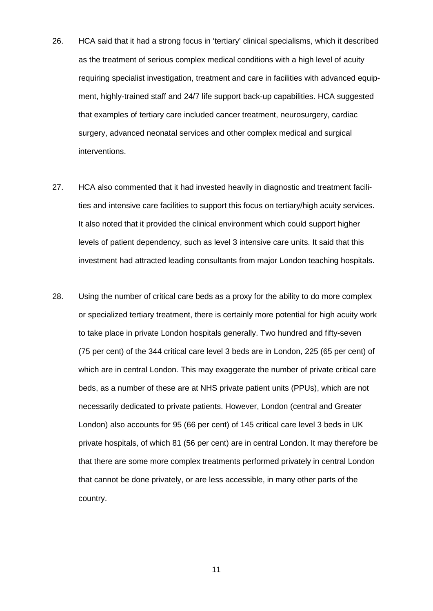- 26. HCA said that it had a strong focus in 'tertiary' clinical specialisms, which it described as the treatment of serious complex medical conditions with a high level of acuity requiring specialist investigation, treatment and care in facilities with advanced equipment, highly-trained staff and 24/7 life support back-up capabilities. HCA suggested that examples of tertiary care included cancer treatment, neurosurgery, cardiac surgery, advanced neonatal services and other complex medical and surgical interventions.
- 27. HCA also commented that it had invested heavily in diagnostic and treatment facilities and intensive care facilities to support this focus on tertiary/high acuity services. It also noted that it provided the clinical environment which could support higher levels of patient dependency, such as level 3 intensive care units. It said that this investment had attracted leading consultants from major London teaching hospitals.
- 28. Using the number of critical care beds as a proxy for the ability to do more complex or specialized tertiary treatment, there is certainly more potential for high acuity work to take place in private London hospitals generally. Two hundred and fifty-seven (75 per cent) of the 344 critical care level 3 beds are in London, 225 (65 per cent) of which are in central London. This may exaggerate the number of private critical care beds, as a number of these are at NHS private patient units (PPUs), which are not necessarily dedicated to private patients. However, London (central and Greater London) also accounts for 95 (66 per cent) of 145 critical care level 3 beds in UK private hospitals, of which 81 (56 per cent) are in central London. It may therefore be that there are some more complex treatments performed privately in central London that cannot be done privately, or are less accessible, in many other parts of the country.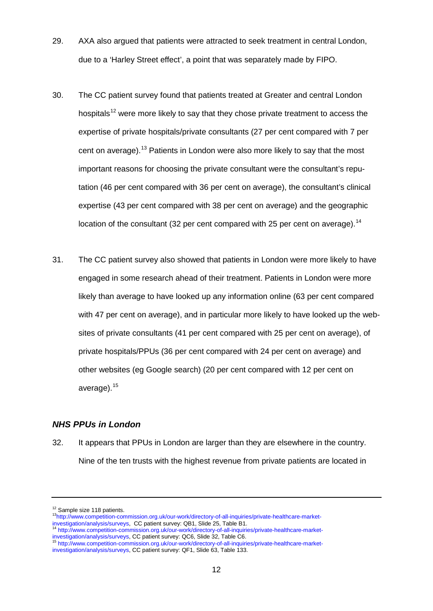- 29. AXA also argued that patients were attracted to seek treatment in central London, due to a 'Harley Street effect', a point that was separately made by FIPO.
- 30. The CC patient survey found that patients treated at Greater and central London hospitals<sup>[12](#page-11-0)</sup> were more likely to say that they chose private treatment to access the expertise of private hospitals/private consultants (27 per cent compared with 7 per cent on average).[13](#page-11-1) Patients in London were also more likely to say that the most important reasons for choosing the private consultant were the consultant's reputation (46 per cent compared with 36 per cent on average), the consultant's clinical expertise (43 per cent compared with 38 per cent on average) and the geographic location of the consultant (32 per cent compared with 25 per cent on average).<sup>[14](#page-11-2)</sup>
- 31. The CC patient survey also showed that patients in London were more likely to have engaged in some research ahead of their treatment. Patients in London were more likely than average to have looked up any information online (63 per cent compared with 47 per cent on average), and in particular more likely to have looked up the websites of private consultants (41 per cent compared with 25 per cent on average), of private hospitals/PPUs (36 per cent compared with 24 per cent on average) and other websites (eg Google search) (20 per cent compared with 12 per cent on average).<sup>[15](#page-11-3)</sup>

### *NHS PPUs in London*

32. It appears that PPUs in London are larger than they are elsewhere in the country. Nine of the ten trusts with the highest revenue from private patients are located in

<span id="page-11-1"></span><span id="page-11-0"></span><sup>&</sup>lt;sup>12</sup> Sample size 118 patients.<br><sup>13</sup>http://www.competition-commission.org.uk/our-work/directory-of-all-inquiries/private-healthcare-market-<br>investigation/analysis/surveys, CC patient survey: QB1, Slide 25, Table B1.

<span id="page-11-2"></span><sup>&</sup>lt;sup>14</sup> http://www.competition-commission.org.uk/our-work/directory-of-all-inquiries/private-healthcare-market-<br>[investigation/analysis/surveys,](http://www.competition-commission.org.uk/our-work/directory-of-all-inquiries/private-healthcare-market-investigation/analysis/surveys) CC patient survey: QC6, Slide 32, Table C6.

<span id="page-11-3"></span>inttp://www.competition-commission.org.uk/our-work/directory-of-all-inquiries/private-healthcare-market[investigation/analysis/surveys,](http://www.competition-commission.org.uk/our-work/directory-of-all-inquiries/private-healthcare-market-investigation/analysis/surveys) CC patient survey: QF1, Slide 63, Table 133.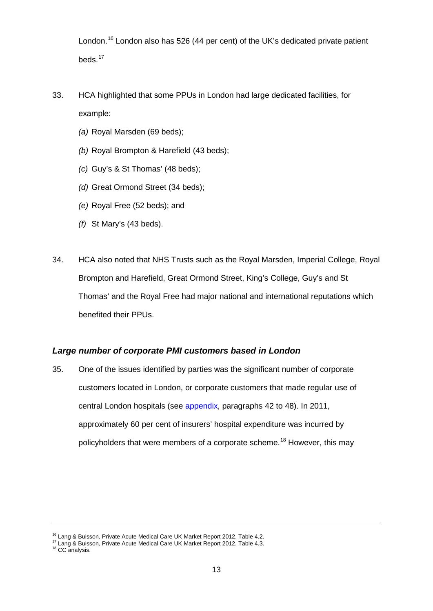London.<sup>[16](#page-12-0)</sup> London also has 526 (44 per cent) of the UK's dedicated private patient beds.<sup>[17](#page-12-1)</sup>

- 33. HCA highlighted that some PPUs in London had large dedicated facilities, for example:
	- *(a)* Royal Marsden (69 beds);
	- *(b)* Royal Brompton & Harefield (43 beds);
	- *(c)* Guy's & St Thomas' (48 beds);
	- *(d)* Great Ormond Street (34 beds);
	- *(e)* Royal Free (52 beds); and
	- *(f)* St Mary's (43 beds).
- 34. HCA also noted that NHS Trusts such as the Royal Marsden, Imperial College, Royal Brompton and Harefield, Great Ormond Street, King's College, Guy's and St Thomas' and the Royal Free had major national and international reputations which benefited their PPUs.

### *Large number of corporate PMI customers based in London*

35. One of the issues identified by parties was the significant number of corporate customers located in London, or corporate customers that made regular use of central London hospitals (see [appendix,](#page-27-0) paragraphs [42](#page-40-0) to [48\)](#page-41-0). In 2011, approximately 60 per cent of insurers' hospital expenditure was incurred by policyholders that were members of a corporate scheme.<sup>[18](#page-12-2)</sup> However, this may

<sup>&</sup>lt;sup>16</sup> Lang & Buisson, Private Acute Medical Care UK Market Report 2012, Table 4.2.

<span id="page-12-1"></span><span id="page-12-0"></span><sup>17</sup> Lang & Buisson, Private Acute Medical Care UK Market Report 2012, Table 4.3.<br><sup>18</sup> CC analysis.

<span id="page-12-2"></span>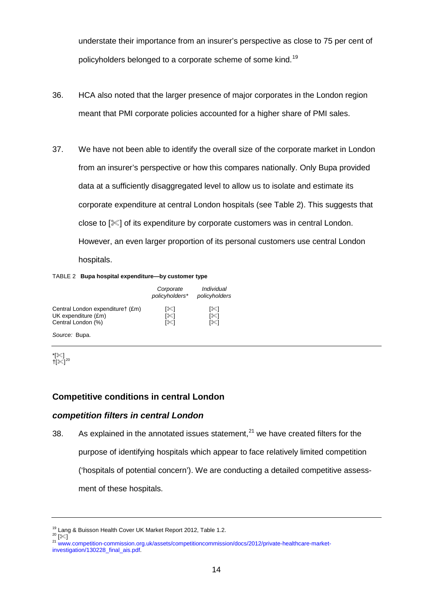understate their importance from an insurer's perspective as close to 75 per cent of policyholders belonged to a corporate scheme of some kind.<sup>[19](#page-13-0)</sup>

- 36. HCA also noted that the larger presence of major corporates in the London region meant that PMI corporate policies accounted for a higher share of PMI sales.
- 37. We have not been able to identify the overall size of the corporate market in London from an insurer's perspective or how this compares nationally. Only Bupa provided data at a sufficiently disaggregated level to allow us to isolate and estimate its corporate expenditure at central London hospitals (see Table 2). This suggests that close to  $[\mathcal{K}]$  of its expenditure by corporate customers was in central London. However, an even larger proportion of its personal customers use central London hospitals.

TABLE 2 **Bupa hospital expenditure—by customer type**

|                                  | Corporate<br>policyholders* | Individual<br>policyholders |
|----------------------------------|-----------------------------|-----------------------------|
| Central London expendituret (£m) | [%]                         | [%]                         |
| UK expenditure (£m)              | [%]                         | [≋]                         |
| Central London (%)               | ו≫ו                         | ו≫ו                         |

*Source:* Bupa.

| Ť) |  |
|----|--|

### **Competitive conditions in central London**

#### *competition filters in central London*

38. As explained in the annotated issues statement, $21$  we have created filters for the purpose of identifying hospitals which appear to face relatively limited competition ('hospitals of potential concern'). We are conducting a detailed competitive assessment of these hospitals.

<span id="page-13-1"></span>

<span id="page-13-0"></span><sup>&</sup>lt;sup>19</sup> Lang & Buisson Health Cover UK Market Report 2012, Table 1.2.<br><sup>20</sup> [ $\lll$ ]

<span id="page-13-2"></span><sup>21</sup> [www.competition-commission.org.uk/assets/competitioncommission/docs/2012/private-healthcare-market](http://www.competition-commission.org.uk/assets/competitioncommission/docs/2012/private-healthcare-market-investigation/130228_final_ais.pdf)[investigation/130228\\_final\\_ais.pdf.](http://www.competition-commission.org.uk/assets/competitioncommission/docs/2012/private-healthcare-market-investigation/130228_final_ais.pdf)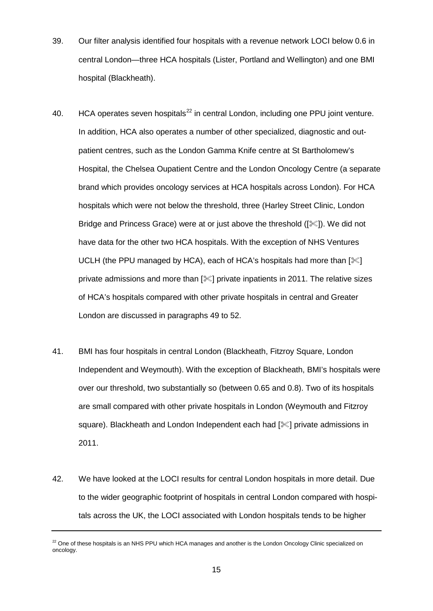- 39. Our filter analysis identified four hospitals with a revenue network LOCI below 0.6 in central London—three HCA hospitals (Lister, Portland and Wellington) and one BMI hospital (Blackheath).
- 40. HCA operates seven hospitals $^{22}$  $^{22}$  $^{22}$  in central London, including one PPU joint venture. In addition, HCA also operates a number of other specialized, diagnostic and outpatient centres, such as the London Gamma Knife centre at St Bartholomew's Hospital, the Chelsea Oupatient Centre and the London Oncology Centre (a separate brand which provides oncology services at HCA hospitals across London). For HCA hospitals which were not below the threshold, three (Harley Street Clinic, London Bridge and Princess Grace) were at or just above the threshold ([ $\ll$ ]). We did not have data for the other two HCA hospitals. With the exception of NHS Ventures UCLH (the PPU managed by HCA), each of HCA's hospitals had more than  $\lll$ private admissions and more than  $[\mathscr{K}]$  private inpatients in 2011. The relative sizes of HCA's hospitals compared with other private hospitals in central and Greater London are discussed in paragraphs 49 to 52.
- 41. BMI has four hospitals in central London (Blackheath, Fitzroy Square, London Independent and Weymouth). With the exception of Blackheath, BMI's hospitals were over our threshold, two substantially so (between 0.65 and 0.8). Two of its hospitals are small compared with other private hospitals in London (Weymouth and Fitzroy square). Blackheath and London Independent each had [ $\ll$ ] private admissions in 2011.
- 42. We have looked at the LOCI results for central London hospitals in more detail. Due to the wider geographic footprint of hospitals in central London compared with hospitals across the UK, the LOCI associated with London hospitals tends to be higher

<span id="page-14-0"></span><sup>&</sup>lt;sup>22</sup> One of these hospitals is an NHS PPU which HCA manages and another is the London Oncology Clinic specialized on oncology.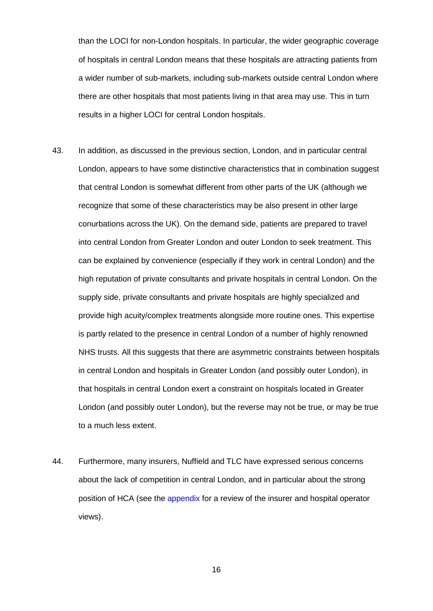than the LOCI for non-London hospitals. In particular, the wider geographic coverage of hospitals in central London means that these hospitals are attracting patients from a wider number of sub-markets, including sub-markets outside central London where there are other hospitals that most patients living in that area may use. This in turn results in a higher LOCI for central London hospitals.

- 43. In addition, as discussed in the previous section, London, and in particular central London, appears to have some distinctive characteristics that in combination suggest that central London is somewhat different from other parts of the UK (although we recognize that some of these characteristics may be also present in other large conurbations across the UK). On the demand side, patients are prepared to travel into central London from Greater London and outer London to seek treatment. This can be explained by convenience (especially if they work in central London) and the high reputation of private consultants and private hospitals in central London. On the supply side, private consultants and private hospitals are highly specialized and provide high acuity/complex treatments alongside more routine ones. This expertise is partly related to the presence in central London of a number of highly renowned NHS trusts. All this suggests that there are asymmetric constraints between hospitals in central London and hospitals in Greater London (and possibly outer London), in that hospitals in central London exert a constraint on hospitals located in Greater London (and possibly outer London), but the reverse may not be true, or may be true to a much less extent.
- 44. Furthermore, many insurers, Nuffield and TLC have expressed serious concerns about the lack of competition in central London, and in particular about the strong position of HCA (see the [appendix](#page-27-0) for a review of the insurer and hospital operator views).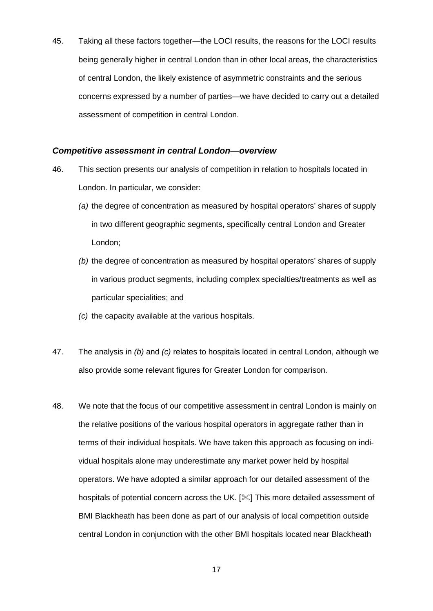45. Taking all these factors together—the LOCI results, the reasons for the LOCI results being generally higher in central London than in other local areas, the characteristics of central London, the likely existence of asymmetric constraints and the serious concerns expressed by a number of parties—we have decided to carry out a detailed assessment of competition in central London.

### *Competitive assessment in central London—overview*

- 46. This section presents our analysis of competition in relation to hospitals located in London. In particular, we consider:
	- *(a)* the degree of concentration as measured by hospital operators' shares of supply in two different geographic segments, specifically central London and Greater London;
	- *(b)* the degree of concentration as measured by hospital operators' shares of supply in various product segments, including complex specialties/treatments as well as particular specialities; and
	- *(c)* the capacity available at the various hospitals.
- 47. The analysis in *(b)* and *(c)* relates to hospitals located in central London, although we also provide some relevant figures for Greater London for comparison.
- 48. We note that the focus of our competitive assessment in central London is mainly on the relative positions of the various hospital operators in aggregate rather than in terms of their individual hospitals. We have taken this approach as focusing on individual hospitals alone may underestimate any market power held by hospital operators. We have adopted a similar approach for our detailed assessment of the hospitals of potential concern across the UK. [ $\ll$ ] This more detailed assessment of BMI Blackheath has been done as part of our analysis of local competition outside central London in conjunction with the other BMI hospitals located near Blackheath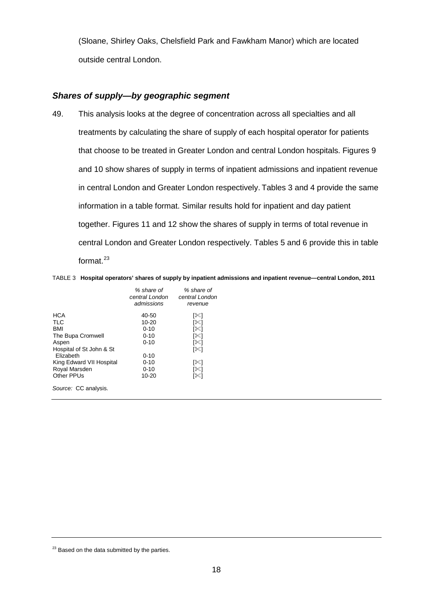(Sloane, Shirley Oaks, Chelsfield Park and Fawkham Manor) which are located outside central London.

### *Shares of supply—by geographic segment*

49. This analysis looks at the degree of concentration across all specialties and all treatments by calculating the share of supply of each hospital operator for patients that choose to be treated in Greater London and central London hospitals. Figures 9 and 10 show shares of supply in terms of inpatient admissions and inpatient revenue in central London and Greater London respectively. Tables 3 and 4 provide the same information in a table format. Similar results hold for inpatient and day patient together. Figures 11 and 12 show the shares of supply in terms of total revenue in central London and Greater London respectively. Tables 5 and 6 provide this in table format. $23$ 

TABLE 3 **Hospital operators' shares of supply by inpatient admissions and inpatient revenue—central London, 2011**

|                          | % share of<br>central London<br>admissions | % share of<br>central London<br>revenue |
|--------------------------|--------------------------------------------|-----------------------------------------|
| <b>HCA</b>               | 40-50                                      | [≫]                                     |
| <b>TLC</b>               | $10 - 20$                                  | [%∏                                     |
| <b>BMI</b>               | $0 - 10$                                   | [≋⊺                                     |
| The Bupa Cromwell        | $0 - 10$                                   | [≋⊺                                     |
| Aspen                    | $0 - 10$                                   | [%]                                     |
| Hospital of St John & St |                                            | [%]                                     |
| Elizabeth                | $0 - 10$                                   |                                         |
| King Edward VII Hospital | $0 - 10$                                   | [没]                                     |
| Royal Marsden            | $0 - 10$                                   | [≋∐                                     |
| Other PPUs               | $10 - 20$                                  | [%]                                     |
| Source: CC analysis.     |                                            |                                         |

<span id="page-17-0"></span> $23$  Based on the data submitted by the parties.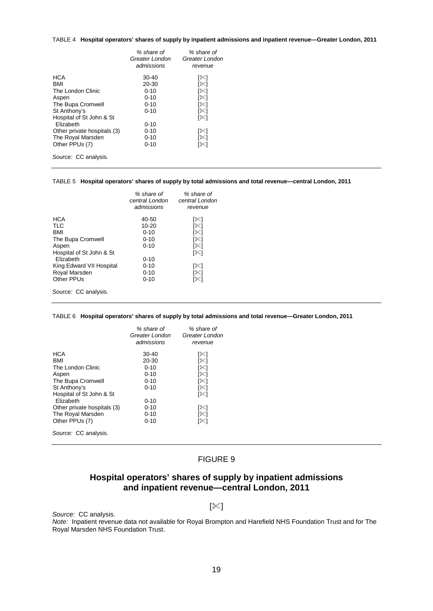#### TABLE 4 **Hospital operators' shares of supply by inpatient admissions and inpatient revenue—Greater London, 2011**

|                             | % share of<br>Greater London<br>admissions | % share of<br>Greater London<br>revenue |
|-----------------------------|--------------------------------------------|-----------------------------------------|
| <b>HCA</b>                  | 30-40                                      | ⋇                                       |
| <b>BMI</b>                  | $20 - 30$                                  | '่≪1                                    |
| The London Clinic           | $0 - 10$                                   | [%]                                     |
| Aspen                       | $0 - 10$                                   | [%]                                     |
| The Bupa Cromwell           | $0 - 10$                                   | [%]                                     |
| St Anthony's                | $0 - 10$                                   | [%]                                     |
| Hospital of St John & St    |                                            | [%∏                                     |
| Elizabeth                   | $0 - 10$                                   |                                         |
| Other private hospitals (3) | $0 - 10$                                   | 136                                     |
| The Royal Marsden           | $0 - 10$                                   | [%]                                     |
| Other PPUs (7)              | $0 - 10$                                   | [%]                                     |
| Source: CC analysis.        |                                            |                                         |

#### TABLE 5 **Hospital operators' shares of supply by total admissions and total revenue—central London, 2011**

|                          | % share of<br>central London | % share of<br>central London |
|--------------------------|------------------------------|------------------------------|
|                          | admissions                   | revenue                      |
| <b>HCA</b>               | 40-50                        | [%]                          |
| <b>TLC</b>               | $10 - 20$                    | [%]                          |
| <b>BMI</b>               | $0 - 10$                     | [没]                          |
| The Bupa Cromwell        | $0 - 10$                     | [%∏                          |
| Aspen                    | $0 - 10$                     | [%]                          |
| Hospital of St John & St |                              | [≪]                          |
| Elizabeth                | $0 - 10$                     |                              |
| King Edward VII Hospital | $0 - 10$                     | [没]                          |
| Royal Marsden            | $0 - 10$                     | [%]                          |
| Other PPUs               | $0 - 10$                     | [没]                          |
| Source: CC analysis.     |                              |                              |

#### TABLE 6 **Hospital operators' shares of supply by total admissions and total revenue—Greater London, 2011**

|                             | % share of<br>Greater London<br>admissions | % share of<br>Greater London<br>revenue |
|-----------------------------|--------------------------------------------|-----------------------------------------|
| <b>HCA</b>                  | $30-40$                                    | $\approx$                               |
| <b>BMI</b>                  | 20-30                                      | '่≪1                                    |
| The London Clinic           | $0 - 10$                                   | [%]                                     |
| Aspen                       | $0 - 10$                                   | [%]                                     |
| The Bupa Cromwell           | $0 - 10$                                   | [%]                                     |
| St Anthony's                | $0 - 10$                                   | '่ ่ ่                                  |
| Hospital of St John & St    |                                            | [%]                                     |
| Elizabeth                   | $0 - 10$                                   |                                         |
| Other private hospitals (3) | $0 - 10$                                   | 1XI                                     |
| The Royal Marsden           | $0 - 10$                                   | '่≪1                                    |
| Other PPUs (7)              | $0 - 10$                                   | [%]                                     |
| Source: CC analysis.        |                                            |                                         |

### FIGURE 9

# **Hospital operators' shares of supply by inpatient admissions and inpatient revenue—central London, 2011**

#### $[\mathbb{K}]$

*Source:* CC analysis.

*Note:* Inpatient revenue data not available for Royal Brompton and Harefield NHS Foundation Trust and for The Royal Marsden NHS Foundation Trust.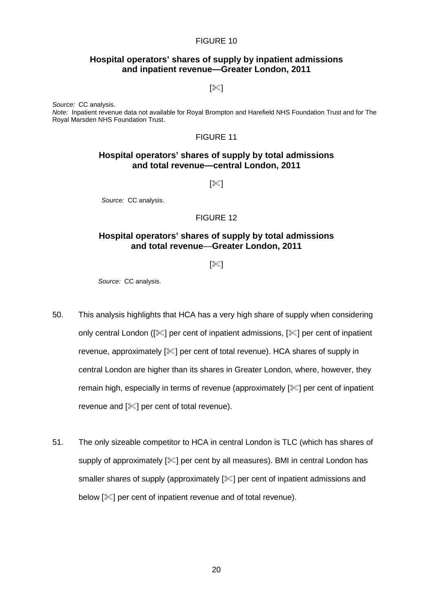#### FIGURE 10

### **Hospital operators' shares of supply by inpatient admissions and inpatient revenue—Greater London, 2011**

 $[\mathbb{K}]$ 

*Source:* CC analysis. *Note:* Inpatient revenue data not available for Royal Brompton and Harefield NHS Foundation Trust and for The Royal Marsden NHS Foundation Trust.

#### FIGURE 11

### **Hospital operators' shares of supply by total admissions and total revenue—central London, 2011**

 $[\mathbb{X}]$ 

*Source:* CC analysis.

#### FIGURE 12

### **Hospital operators' shares of supply by total admissions and total revenue**—**Greater London, 2011**

 $\approx$ ]

*Source:* CC analysis.

- 50. This analysis highlights that HCA has a very high share of supply when considering only central London ( $[\mathcal{K}]$  per cent of inpatient admissions,  $[\mathcal{K}]$  per cent of inpatient revenue, approximately [ $\ll$ ] per cent of total revenue). HCA shares of supply in central London are higher than its shares in Greater London, where, however, they remain high, especially in terms of revenue (approximately  $[\mathcal{K}]$  per cent of inpatient revenue and  $[$   $|$   $|$   $|$  per cent of total revenue).
- 51. The only sizeable competitor to HCA in central London is TLC (which has shares of supply of approximately [ $\mathscr{K}$ ] per cent by all measures). BMI in central London has smaller shares of supply (approximately  $[\&]$  per cent of inpatient admissions and below [ $\leq$ ] per cent of inpatient revenue and of total revenue).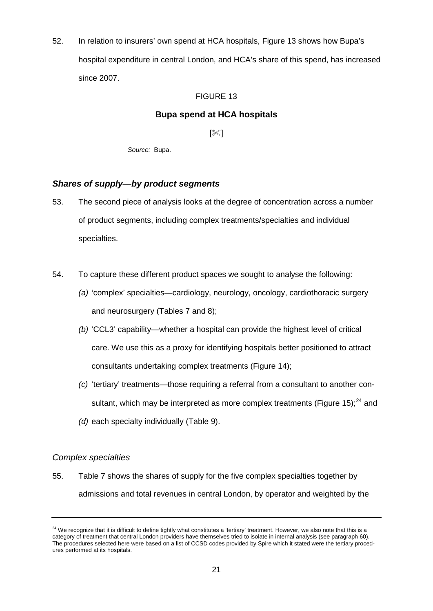52. In relation to insurers' own spend at HCA hospitals, Figure 13 shows how Bupa's hospital expenditure in central London, and HCA's share of this spend, has increased since 2007.

### FIGURE 13

### **Bupa spend at HCA hospitals**

 $[\mathscr{K}]$ 

*Source:* Bupa.

### *Shares of supply—by product segments*

- 53. The second piece of analysis looks at the degree of concentration across a number of product segments, including complex treatments/specialties and individual specialties.
- 54. To capture these different product spaces we sought to analyse the following:
	- *(a)* 'complex' specialties—cardiology, neurology, oncology, cardiothoracic surgery and neurosurgery (Tables 7 and 8);
	- *(b)* 'CCL3' capability—whether a hospital can provide the highest level of critical care. We use this as a proxy for identifying hospitals better positioned to attract consultants undertaking complex treatments (Figure 14);
	- *(c)* 'tertiary' treatments—those requiring a referral from a consultant to another con-sultant, which may be interpreted as more complex treatments (Figure 15);<sup>[24](#page-20-0)</sup> and
	- *(d)* each specialty individually (Table 9).

### *Complex specialties*

55. Table 7 shows the shares of supply for the five complex specialties together by admissions and total revenues in central London, by operator and weighted by the

<span id="page-20-0"></span> $24$  We recognize that it is difficult to define tightly what constitutes a 'tertiary' treatment. However, we also note that this is a category of treatment that central London providers have themselves tried to isolate in internal analysis (see paragrap[h 60\)](#page-23-0). The procedures selected here were based on a list of CCSD codes provided by Spire which it stated were the tertiary procedures performed at its hospitals.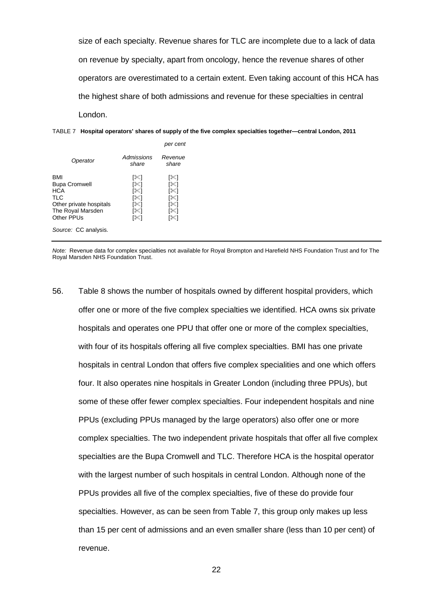size of each specialty. Revenue shares for TLC are incomplete due to a lack of data on revenue by specialty, apart from oncology, hence the revenue shares of other operators are overestimated to a certain extent. Even taking account of this HCA has the highest share of both admissions and revenue for these specialties in central London.



|                                                                                                         |                                               | per cent                                      |
|---------------------------------------------------------------------------------------------------------|-----------------------------------------------|-----------------------------------------------|
| Operator                                                                                                | Admissions<br>share                           | Revenue<br>share                              |
| BMI<br><b>Bupa Cromwell</b><br>HCA<br>TLC<br>Other private hospitals<br>The Royal Marsden<br>Other PPUs | [%]<br>r⊗a<br>[≋]<br>[%]<br>[%]<br>[≋]<br>r⊗a | ו≫⊺<br>[≋⊺<br>[≪]<br>[%]<br>[没]<br>[%]<br>[紧] |
| Source: CC analysis.                                                                                    |                                               |                                               |

*Note:* Revenue data for complex specialties not available for Royal Brompton and Harefield NHS Foundation Trust and for The Royal Marsden NHS Foundation Trust.

56. Table 8 shows the number of hospitals owned by different hospital providers, which offer one or more of the five complex specialties we identified. HCA owns six private hospitals and operates one PPU that offer one or more of the complex specialties, with four of its hospitals offering all five complex specialties. BMI has one private hospitals in central London that offers five complex specialities and one which offers four. It also operates nine hospitals in Greater London (including three PPUs), but some of these offer fewer complex specialties. Four independent hospitals and nine PPUs (excluding PPUs managed by the large operators) also offer one or more complex specialties. The two independent private hospitals that offer all five complex specialties are the Bupa Cromwell and TLC. Therefore HCA is the hospital operator with the largest number of such hospitals in central London. Although none of the PPUs provides all five of the complex specialties, five of these do provide four specialties. However, as can be seen from Table 7, this group only makes up less than 15 per cent of admissions and an even smaller share (less than 10 per cent) of revenue.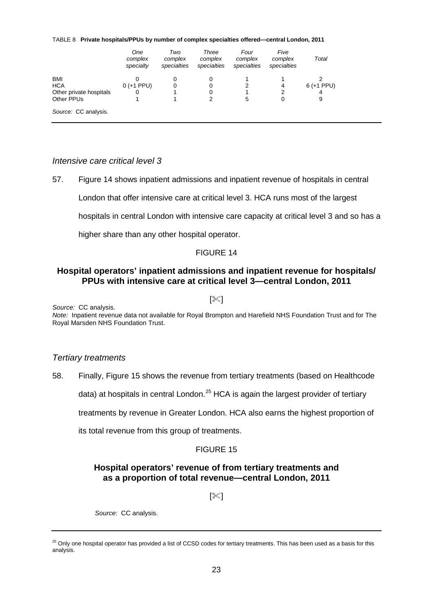TABLE 8 **Private hospitals/PPUs by number of complex specialties offered—central London, 2011**

|                         | One<br>complex<br>specialty | Two<br>complex<br>specialties | Three<br>complex<br>specialties | Four<br>complex<br>specialties | Five<br>complex<br>specialties | Total        |
|-------------------------|-----------------------------|-------------------------------|---------------------------------|--------------------------------|--------------------------------|--------------|
| <b>BMI</b>              |                             | O                             |                                 |                                |                                |              |
| <b>HCA</b>              | $0 (+1 PPU)$                | 0                             | 0                               | 2                              | 4                              | $6 (+1 PPU)$ |
| Other private hospitals | 0                           |                               | 0                               |                                | 2                              | 4            |
| Other PPUs              |                             |                               |                                 | 5                              |                                | 9            |
| Source: CC analysis.    |                             |                               |                                 |                                |                                |              |

### *Intensive care critical level 3*

57. Figure 14 shows inpatient admissions and inpatient revenue of hospitals in central

London that offer intensive care at critical level 3. HCA runs most of the largest

hospitals in central London with intensive care capacity at critical level 3 and so has a

higher share than any other hospital operator.

### FIGURE 14

### **Hospital operators' inpatient admissions and inpatient revenue for hospitals/ PPUs with intensive care at critical level 3—central London, 2011**

 $\sqrt{3}$ 

*Source:* CC analysis.

*Note:* Inpatient revenue data not available for Royal Brompton and Harefield NHS Foundation Trust and for The Royal Marsden NHS Foundation Trust.

### *Tertiary treatments*

58. Finally, Figure 15 shows the revenue from tertiary treatments (based on Healthcode

data) at hospitals in central London.<sup>[25](#page-22-0)</sup> HCA is again the largest provider of tertiary

treatments by revenue in Greater London. HCA also earns the highest proportion of

its total revenue from this group of treatments.

### FIGURE 15

### **Hospital operators' revenue of from tertiary treatments and as a proportion of total revenue—central London, 2011**

 $\approx$ ]

*Source:* CC analysis.

<span id="page-22-0"></span><sup>&</sup>lt;sup>25</sup> Only one hospital operator has provided a list of CCSD codes for tertiary treatments. This has been used as a basis for this analysis.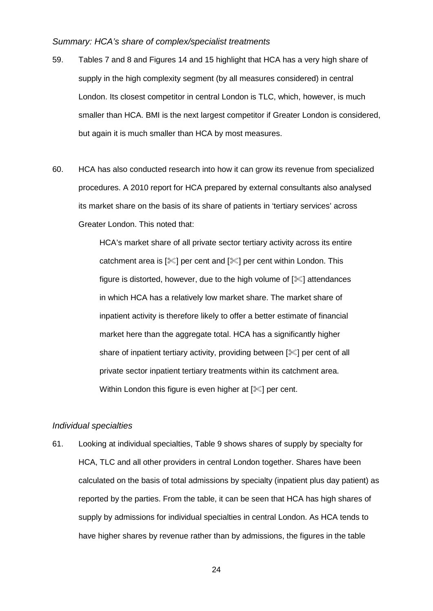#### *Summary: HCA's share of complex/specialist treatments*

- 59. Tables 7 and 8 and Figures 14 and 15 highlight that HCA has a very high share of supply in the high complexity segment (by all measures considered) in central London. Its closest competitor in central London is TLC, which, however, is much smaller than HCA. BMI is the next largest competitor if Greater London is considered, but again it is much smaller than HCA by most measures.
- <span id="page-23-0"></span>60. HCA has also conducted research into how it can grow its revenue from specialized procedures. A 2010 report for HCA prepared by external consultants also analysed its market share on the basis of its share of patients in 'tertiary services' across Greater London. This noted that:

HCA's market share of all private sector tertiary activity across its entire catchment area is  $[\mathcal{K}]$  per cent and  $[\mathcal{K}]$  per cent within London. This figure is distorted, however, due to the high volume of  $[\mathcal{K}]$  attendances in which HCA has a relatively low market share. The market share of inpatient activity is therefore likely to offer a better estimate of financial market here than the aggregate total. HCA has a significantly higher share of inpatient tertiary activity, providing between  $[\mathcal{K}]$  per cent of all private sector inpatient tertiary treatments within its catchment area. Within London this figure is even higher at  $[\mathcal{K}]$  per cent.

#### *Individual specialties*

61. Looking at individual specialties, Table 9 shows shares of supply by specialty for HCA, TLC and all other providers in central London together. Shares have been calculated on the basis of total admissions by specialty (inpatient plus day patient) as reported by the parties. From the table, it can be seen that HCA has high shares of supply by admissions for individual specialties in central London. As HCA tends to have higher shares by revenue rather than by admissions, the figures in the table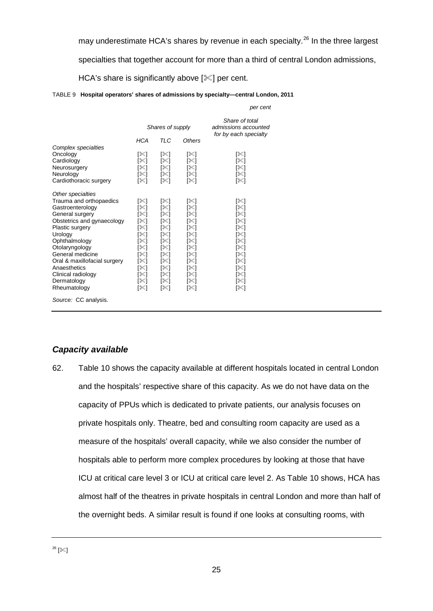may underestimate HCA's shares by revenue in each specialty.<sup>[26](#page-24-0)</sup> In the three largest

specialties that together account for more than a third of central London admissions,

HCA's share is significantly above  $[\mathcal{K}]$  per cent.

| TABLE 9 Hospital operators' shares of admissions by specialty—central London, 2011 |  |  |  |
|------------------------------------------------------------------------------------|--|--|--|
|                                                                                    |  |  |  |

|                              |            |                  |        | per cent                                                        |
|------------------------------|------------|------------------|--------|-----------------------------------------------------------------|
|                              |            | Shares of supply |        | Share of total<br>admissions accounted<br>for by each specialty |
|                              | <b>HCA</b> | TI C             | Others |                                                                 |
| Complex specialties          |            |                  |        |                                                                 |
| Oncology                     | [%]        | [≪]              | [%]    | [%]                                                             |
| Cardiology                   | [紧]        | [≪]              | [%]    | [%]                                                             |
| Neurosurgery                 | [%]        | [%]              | [%]    | [≋]                                                             |
| Neurology                    | [%]        | [≪]              | [≋∐    | [%]                                                             |
| Cardiothoracic surgery       | [%]        | [≋]              | [≋]    | [≋]                                                             |
| Other specialties            |            |                  |        |                                                                 |
| Trauma and orthopaedics      | [%]        | [%]              | [%]    | [%                                                              |
| Gastroenterology             | [%]        | [≪]              | [%]    | [%]                                                             |
| General surgery              | [%]        | [≪]              | [%]    | [≋]                                                             |
| Obstetrics and gynaecology   | [紧]        | ו≫⊺              | ו≫ا    | [≋]                                                             |
| Plastic surgery              | [%]        | [≪]              | [%]    | [≋]                                                             |
| Urology                      | [%]        | [≫]              | [%]    | [≋]                                                             |
| Ophthalmology                | [%]        | [%]              | [≋]    | [%]                                                             |
| Otolaryngology               | [紧]        | [≪]              | [%]    | [≋]                                                             |
| General medicine             | [≋]        | [紧]              | [%]    | [≋]                                                             |
| Oral & maxillofacial surgery | [%]        | [≫]              | [≋⊺    | [≋]                                                             |
| Anaesthetics                 | [%]        | ו≫⊺              | [%]    | [≋]                                                             |
| Clinical radiology           | ר≫ן        | [%]              | [%]    | [%]                                                             |
| Dermatology                  | [紧]        | [%]              | [≋⊺    | [≫]                                                             |
| Rheumatology                 | [≋]        | [≋]              | [≫]    | [≋]                                                             |
| Source: CC analysis.         |            |                  |        |                                                                 |

### *Capacity available*

<span id="page-24-0"></span>62. Table 10 shows the capacity available at different hospitals located in central London and the hospitals' respective share of this capacity. As we do not have data on the capacity of PPUs which is dedicated to private patients, our analysis focuses on private hospitals only. Theatre, bed and consulting room capacity are used as a measure of the hospitals' overall capacity, while we also consider the number of hospitals able to perform more complex procedures by looking at those that have ICU at critical care level 3 or ICU at critical care level 2. As Table 10 shows, HCA has almost half of the theatres in private hospitals in central London and more than half of the overnight beds. A similar result is found if one looks at consulting rooms, with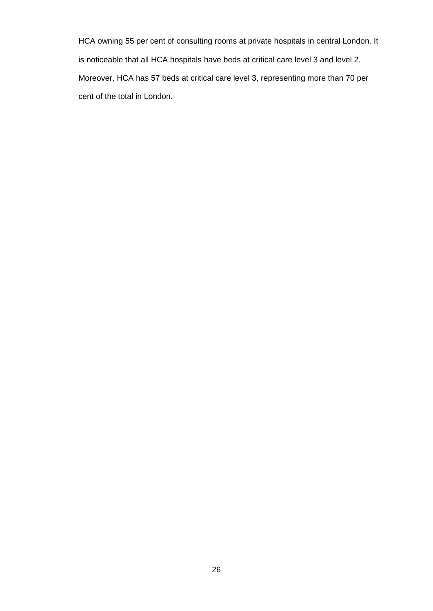HCA owning 55 per cent of consulting rooms at private hospitals in central London. It is noticeable that all HCA hospitals have beds at critical care level 3 and level 2. Moreover, HCA has 57 beds at critical care level 3, representing more than 70 per cent of the total in London.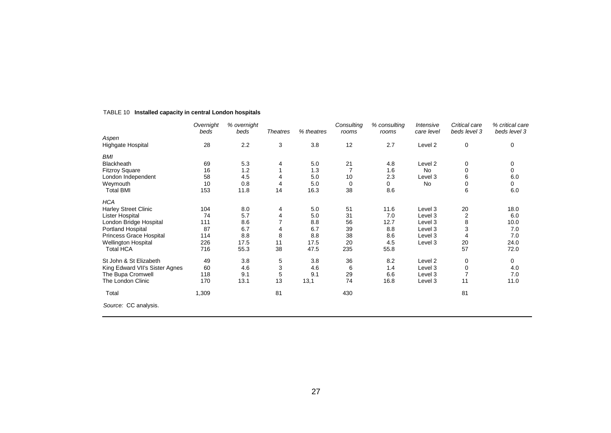|                                | Overnight | % overnight |                 |            | Consulting | % consulting | Intensive          | Critical care  | % critical care |
|--------------------------------|-----------|-------------|-----------------|------------|------------|--------------|--------------------|----------------|-----------------|
|                                | beds      | beds        | <b>Theatres</b> | % theatres | rooms      | rooms        | care level         | beds level 3   | beds level 3    |
| Aspen<br>Highgate Hospital     | 28        | 2.2         | 3               | 3.8        | 12         | 2.7          | Level 2            | 0              | 0               |
|                                |           |             |                 |            |            |              |                    |                |                 |
| <b>BMI</b>                     |           |             |                 |            |            |              |                    |                |                 |
| <b>Blackheath</b>              | 69        | 5.3         | 4               | 5.0        | 21         | 4.8          | Level 2            | 0              | 0               |
| <b>Fitzroy Square</b>          | 16        | 1.2         |                 | 1.3        |            | 1.6          | <b>No</b>          | $\mathbf 0$    | 0               |
| London Independent             | 58        | 4.5         | 4               | 5.0        | 10         | 2.3          | Level 3            | 6              | 6.0             |
| Weymouth                       | 10        | 0.8         | 4               | 5.0        | 0          | 0            | No                 | 0              | 0               |
| <b>Total BMI</b>               | 153       | 11.8        | 14              | 16.3       | 38         | 8.6          |                    | 6              | 6.0             |
| <b>HCA</b>                     |           |             |                 |            |            |              |                    |                |                 |
| <b>Harley Street Clinic</b>    | 104       | 8.0         | 4               | 5.0        | 51         | 11.6         | Level 3            | 20             | 18.0            |
| Lister Hospital                | 74        | 5.7         | 4               | 5.0        | 31         | 7.0          | Level 3            | $\overline{2}$ | 6.0             |
| London Bridge Hospital         | 111       | 8.6         |                 | 8.8        | 56         | 12.7         | Level 3            | 8              | 10.0            |
| Portland Hospital              | 87        | 6.7         |                 | 6.7        | 39         | 8.8          | Level 3            | 3              | 7.0             |
| <b>Princess Grace Hospital</b> | 114       | 8.8         | 8               | 8.8        | 38         | 8.6          | Level 3            | 4              | 7.0             |
| Wellington Hospital            | 226       | 17.5        | 11              | 17.5       | 20         | 4.5          | Level 3            | 20             | 24.0            |
| <b>Total HCA</b>               | 716       | 55.3        | 38              | 47.5       | 235        | 55.8         |                    | 57             | 72.0            |
| St John & St Elizabeth         | 49        | 3.8         | 5               | 3.8        | 36         | 8.2          | Level <sub>2</sub> | 0              | 0               |
| King Edward VII's Sister Agnes | 60        | 4.6         | 3               | 4.6        | 6          | 1.4          | Level 3            | 0              | 4.0             |
| The Bupa Cromwell              | 118       | 9.1         | 5               | 9.1        | 29         | 6.6          | Level 3            | $\overline{7}$ | 7.0             |
| The London Clinic              | 170       | 13.1        | 13              | 13,1       | 74         | 16.8         | Level 3            | 11             | 11.0            |
| Total                          | 1,309     |             | 81              |            | 430        |              |                    | 81             |                 |
| Source: CC analysis.           |           |             |                 |            |            |              |                    |                |                 |
|                                |           |             |                 |            |            |              |                    |                |                 |

#### TABLE 10 **Installed capacity in central London hospitals**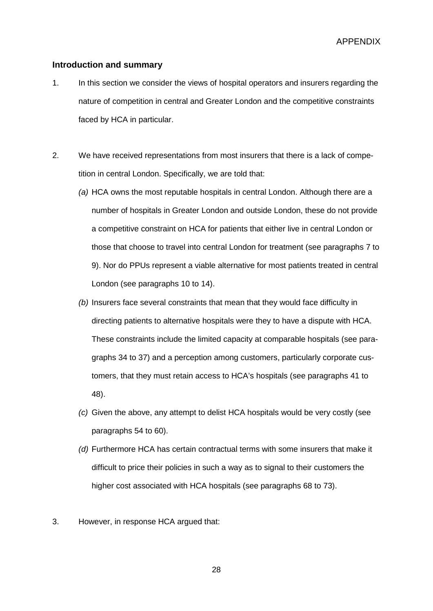<span id="page-27-0"></span>APPENDIX

#### **Introduction and summary**

- 1. In this section we consider the views of hospital operators and insurers regarding the nature of competition in central and Greater London and the competitive constraints faced by HCA in particular.
- 2. We have received representations from most insurers that there is a lack of competition in central London. Specifically, we are told that:
	- *(a)* HCA owns the most reputable hospitals in central London. Although there are a number of hospitals in Greater London and outside London, these do not provide a competitive constraint on HCA for patients that either live in central London or those that choose to travel into central London for treatment (see paragraphs [7](#page-29-0) to [9\)](#page-30-0). Nor do PPUs represent a viable alternative for most patients treated in central London (see paragraphs [10](#page-31-0) to [14\)](#page-32-0).
	- *(b)* Insurers face several constraints that mean that they would face difficulty in directing patients to alternative hospitals were they to have a dispute with HCA. These constraints include the limited capacity at comparable hospitals (see paragraphs 34 to [37\)](#page-38-0) and a perception among customers, particularly corporate customers, that they must retain access to HCA's hospitals (see paragraphs 41 to [48\)](#page-41-0).
	- *(c)* Given the above, any attempt to delist HCA hospitals would be very costly (see paragraphs 54 to [60\)](#page-45-0).
	- *(d)* Furthermore HCA has certain contractual terms with some insurers that make it difficult to price their policies in such a way as to signal to their customers the higher cost associated with HCA hospitals (see paragraphs 68 to 73).
- 3. However, in response HCA argued that: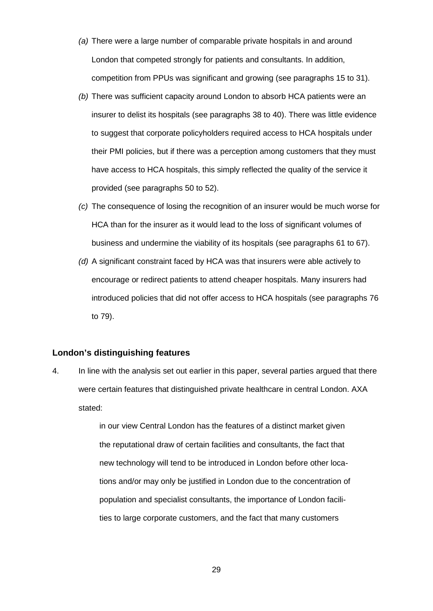- *(a)* There were a large number of comparable private hospitals in and around London that competed strongly for patients and consultants. In addition, competition from PPUs was significant and growing (see paragraphs [15](#page-33-0) to [31\)](#page-37-0).
- *(b)* There was sufficient capacity around London to absorb HCA patients were an insurer to delist its hospitals (see paragraphs 38 to 40). There was little evidence to suggest that corporate policyholders required access to HCA hospitals under their PMI policies, but if there was a perception among customers that they must have access to HCA hospitals, this simply reflected the quality of the service it provided (see paragraphs [50](#page-42-0) to [52\)](#page-42-1).
- *(c)* The consequence of losing the recognition of an insurer would be much worse for HCA than for the insurer as it would lead to the loss of significant volumes of business and undermine the viability of its hospitals (see paragraphs [61](#page-45-1) to [67\)](#page-46-0).
- *(d)* A significant constraint faced by HCA was that insurers were able actively to encourage or redirect patients to attend cheaper hospitals. Many insurers had introduced policies that did not offer access to HCA hospitals (see paragraphs [76](#page-48-0) to [79\)](#page-49-0).

### **London's distinguishing features**

4. In line with the analysis set out earlier in this paper, several parties argued that there were certain features that distinguished private healthcare in central London. AXA stated:

> in our view Central London has the features of a distinct market given the reputational draw of certain facilities and consultants, the fact that new technology will tend to be introduced in London before other locations and/or may only be justified in London due to the concentration of population and specialist consultants, the importance of London facilities to large corporate customers, and the fact that many customers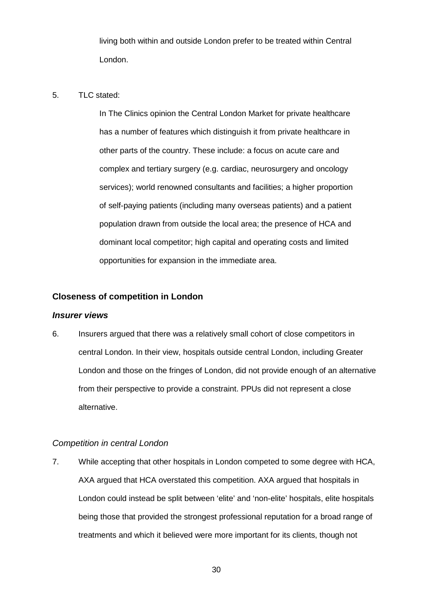living both within and outside London prefer to be treated within Central London.

#### 5. TLC stated:

In The Clinics opinion the Central London Market for private healthcare has a number of features which distinguish it from private healthcare in other parts of the country. These include: a focus on acute care and complex and tertiary surgery (e.g. cardiac, neurosurgery and oncology services); world renowned consultants and facilities; a higher proportion of self-paying patients (including many overseas patients) and a patient population drawn from outside the local area; the presence of HCA and dominant local competitor; high capital and operating costs and limited opportunities for expansion in the immediate area.

### **Closeness of competition in London**

#### *Insurer views*

6. Insurers argued that there was a relatively small cohort of close competitors in central London. In their view, hospitals outside central London, including Greater London and those on the fringes of London, did not provide enough of an alternative from their perspective to provide a constraint. PPUs did not represent a close alternative.

### *Competition in central London*

<span id="page-29-0"></span>7. While accepting that other hospitals in London competed to some degree with HCA, AXA argued that HCA overstated this competition. AXA argued that hospitals in London could instead be split between 'elite' and 'non-elite' hospitals, elite hospitals being those that provided the strongest professional reputation for a broad range of treatments and which it believed were more important for its clients, though not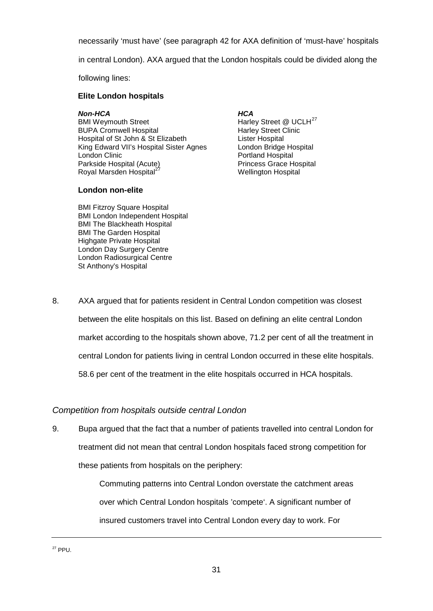necessarily 'must have' (see paragraph [42](#page-40-0) for AXA definition of 'must-have' hospitals

in central London). AXA argued that the London hospitals could be divided along the

following lines:

### **Elite London hospitals**

*Non-HCA HCA* BUPA Cromwell Hospital Harley Street C<br>
Harley Street C<br>
Hospital of St John & St Elizabeth Lister Hospital Hospital of St John & St Elizabeth Lister Hospital<br>
King Edward VII's Hospital Sister Agnes London Bridge Hospital King Edward VII's Hospital Sister Agnes<br>London Clinic London Clinic<br>
Portland Hospital (Acute)<br>
Princess Grace H Royal Marsden Hospital<sup>2</sup>

### **London non-elite**

Harley Street @ UCLH<sup>[27](#page-30-1)</sup><br>Harley Street Clinic Princess Grace Hospital<br>Wellington Hospital

BMI Fitzroy Square Hospital BMI London Independent Hospital BMI The Blackheath Hospital BMI The Garden Hospital Highgate Private Hospital London Day Surgery Centre London Radiosurgical Centre St Anthony's Hospital

8. AXA argued that for patients resident in Central London competition was closest between the elite hospitals on this list. Based on defining an elite central London market according to the hospitals shown above, 71.2 per cent of all the treatment in central London for patients living in central London occurred in these elite hospitals. 58.6 per cent of the treatment in the elite hospitals occurred in HCA hospitals.

# *Competition from hospitals outside central London*

<span id="page-30-0"></span>9. Bupa argued that the fact that a number of patients travelled into central London for treatment did not mean that central London hospitals faced strong competition for these patients from hospitals on the periphery:

> <span id="page-30-1"></span>Commuting patterns into Central London overstate the catchment areas over which Central London hospitals 'compete'. A significant number of insured customers travel into Central London every day to work. For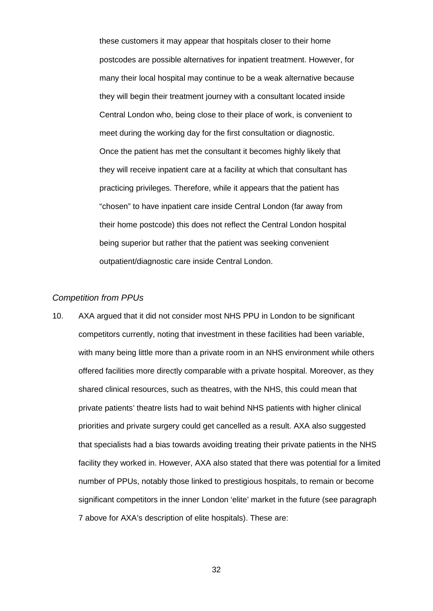these customers it may appear that hospitals closer to their home postcodes are possible alternatives for inpatient treatment. However, for many their local hospital may continue to be a weak alternative because they will begin their treatment journey with a consultant located inside Central London who, being close to their place of work, is convenient to meet during the working day for the first consultation or diagnostic. Once the patient has met the consultant it becomes highly likely that they will receive inpatient care at a facility at which that consultant has practicing privileges. Therefore, while it appears that the patient has "chosen" to have inpatient care inside Central London (far away from their home postcode) this does not reflect the Central London hospital being superior but rather that the patient was seeking convenient outpatient/diagnostic care inside Central London.

### *Competition from PPUs*

<span id="page-31-0"></span>10. AXA argued that it did not consider most NHS PPU in London to be significant competitors currently, noting that investment in these facilities had been variable, with many being little more than a private room in an NHS environment while others offered facilities more directly comparable with a private hospital. Moreover, as they shared clinical resources, such as theatres, with the NHS, this could mean that private patients' theatre lists had to wait behind NHS patients with higher clinical priorities and private surgery could get cancelled as a result. AXA also suggested that specialists had a bias towards avoiding treating their private patients in the NHS facility they worked in. However, AXA also stated that there was potential for a limited number of PPUs, notably those linked to prestigious hospitals, to remain or become significant competitors in the inner London 'elite' market in the future (see paragraph [7](#page-29-0) above for AXA's description of elite hospitals). These are: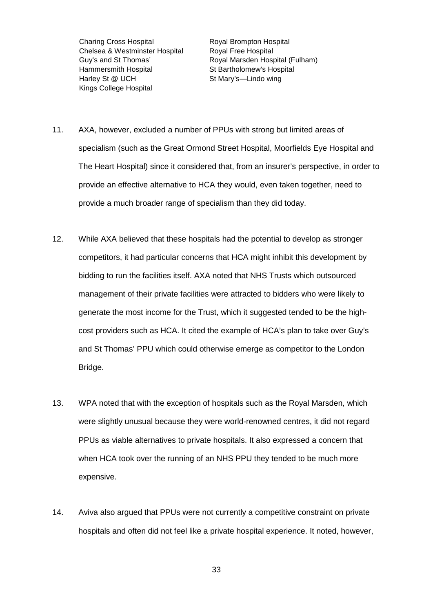Charing Cross Hospital Royal Brompton Hospital Chelsea & Westminster Hospital Royal Free Hospital Hammersmith Hospital St Bartholomew's Hospital Harley St @ UCH St Mary's—Lindo wing Kings College Hospital

Guy's and St Thomas' Royal Marsden Hospital (Fulham)

- 11. AXA, however, excluded a number of PPUs with strong but limited areas of specialism (such as the Great Ormond Street Hospital, Moorfields Eye Hospital and The Heart Hospital) since it considered that, from an insurer's perspective, in order to provide an effective alternative to HCA they would, even taken together, need to provide a much broader range of specialism than they did today.
- 12. While AXA believed that these hospitals had the potential to develop as stronger competitors, it had particular concerns that HCA might inhibit this development by bidding to run the facilities itself. AXA noted that NHS Trusts which outsourced management of their private facilities were attracted to bidders who were likely to generate the most income for the Trust, which it suggested tended to be the highcost providers such as HCA. It cited the example of HCA's plan to take over Guy's and St Thomas' PPU which could otherwise emerge as competitor to the London Bridge.
- 13. WPA noted that with the exception of hospitals such as the Royal Marsden, which were slightly unusual because they were world-renowned centres, it did not regard PPUs as viable alternatives to private hospitals. It also expressed a concern that when HCA took over the running of an NHS PPU they tended to be much more expensive.
- <span id="page-32-0"></span>14. Aviva also argued that PPUs were not currently a competitive constraint on private hospitals and often did not feel like a private hospital experience. It noted, however,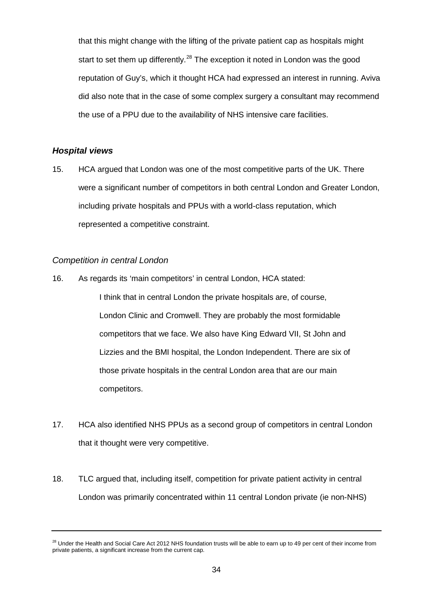that this might change with the lifting of the private patient cap as hospitals might start to set them up differently.<sup>[28](#page-33-1)</sup> The exception it noted in London was the good reputation of Guy's, which it thought HCA had expressed an interest in running. Aviva did also note that in the case of some complex surgery a consultant may recommend the use of a PPU due to the availability of NHS intensive care facilities.

### *Hospital views*

15. HCA argued that London was one of the most competitive parts of the UK. There were a significant number of competitors in both central London and Greater London, including private hospitals and PPUs with a world-class reputation, which represented a competitive constraint.

### *Competition in central London*

<span id="page-33-0"></span>16. As regards its 'main competitors' in central London, HCA stated:

I think that in central London the private hospitals are, of course, London Clinic and Cromwell. They are probably the most formidable competitors that we face. We also have King Edward VII, St John and Lizzies and the BMI hospital, the London Independent. There are six of those private hospitals in the central London area that are our main competitors.

- 17. HCA also identified NHS PPUs as a second group of competitors in central London that it thought were very competitive.
- 18. TLC argued that, including itself, competition for private patient activity in central London was primarily concentrated within 11 central London private (ie non-NHS)

<span id="page-33-1"></span><sup>&</sup>lt;sup>28</sup> Under the Health and Social Care Act 2012 NHS foundation trusts will be able to earn up to 49 per cent of their income from private patients, a significant increase from the current cap.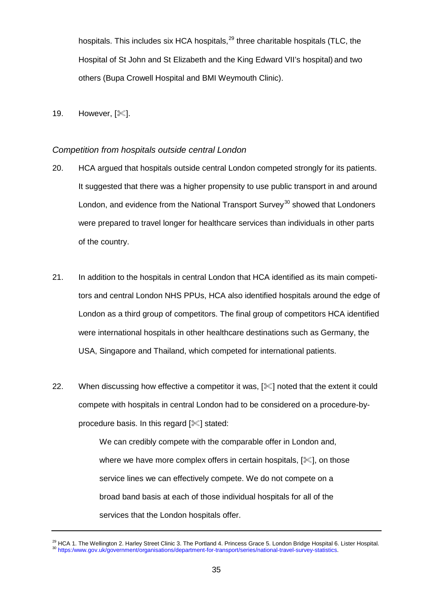hospitals. This includes six HCA hospitals,<sup>[29](#page-34-0)</sup> three charitable hospitals (TLC, the Hospital of St John and St Elizabeth and the King Edward VII's hospital) and two others (Bupa Crowell Hospital and BMI Weymouth Clinic).

19. However,  $[\mathcal{K}]$ .

### *Competition from hospitals outside central London*

- 20. HCA argued that hospitals outside central London competed strongly for its patients. It suggested that there was a higher propensity to use public transport in and around London, and evidence from the National Transport Survey<sup>[30](#page-34-1)</sup> showed that Londoners were prepared to travel longer for healthcare services than individuals in other parts of the country.
- 21. In addition to the hospitals in central London that HCA identified as its main competitors and central London NHS PPUs, HCA also identified hospitals around the edge of London as a third group of competitors. The final group of competitors HCA identified were international hospitals in other healthcare destinations such as Germany, the USA, Singapore and Thailand, which competed for international patients.
- 22. When discussing how effective a competitor it was, [ $\ll$ ] noted that the extent it could compete with hospitals in central London had to be considered on a procedure-byprocedure basis. In this regard  $[\mathcal{K}]$  stated:

We can credibly compete with the comparable offer in London and, where we have more complex offers in certain hospitals,  $[\mathcal{K}]$ , on those service lines we can effectively compete. We do not compete on a broad band basis at each of those individual hospitals for all of the services that the London hospitals offer.

<span id="page-34-1"></span><span id="page-34-0"></span><sup>&</sup>lt;sup>29</sup> HCA 1. The Wellington 2. Harley Street Clinic 3. The Portland 4. Princess Grace 5. London Bridge Hospital 6. Lister Hospital.<br><sup>30</sup> https:/www.gov.uk/government/organisations/department-for-transport/series/national-tr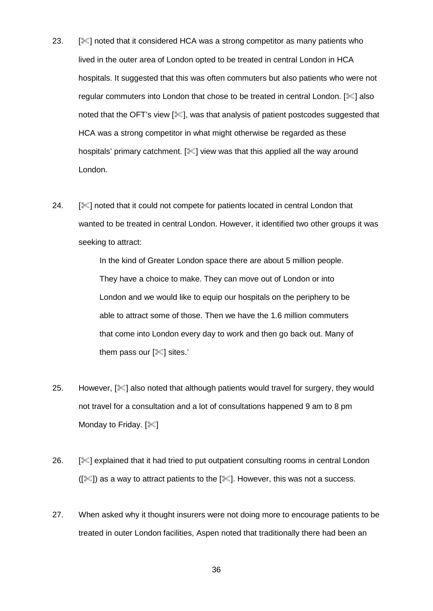- 23.  $[\mathcal{K}]$  noted that it considered HCA was a strong competitor as many patients who lived in the outer area of London opted to be treated in central London in HCA hospitals. It suggested that this was often commuters but also patients who were not regular commuters into London that chose to be treated in central London. [ $\ll$ ] also noted that the OFT's view [ $\ll$ ], was that analysis of patient postcodes suggested that HCA was a strong competitor in what might otherwise be regarded as these hospitals' primary catchment. [ $\ll$ ] view was that this applied all the way around London.
- 24. [Incred that it could not compete for patients located in central London that wanted to be treated in central London. However, it identified two other groups it was seeking to attract:

In the kind of Greater London space there are about 5 million people. They have a choice to make. They can move out of London or into London and we would like to equip our hospitals on the periphery to be able to attract some of those. Then we have the 1.6 million commuters that come into London every day to work and then go back out. Many of them pass our  $[$  sites.'

- 25. However,  $[\mathcal{K}]$  also noted that although patients would travel for surgery, they would not travel for a consultation and a lot of consultations happened 9 am to 8 pm Monday to Friday.  $[$
- 26. [ $\mathscr{L}$ ] explained that it had tried to put outpatient consulting rooms in central London  $(|\mathcal{K}|)$  as a way to attract patients to the  $|\mathcal{K}|$ . However, this was not a success.
- 27. When asked why it thought insurers were not doing more to encourage patients to be treated in outer London facilities, Aspen noted that traditionally there had been an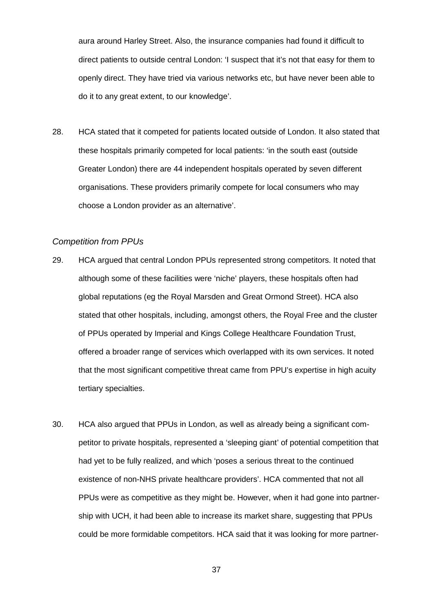aura around Harley Street. Also, the insurance companies had found it difficult to direct patients to outside central London: 'I suspect that it's not that easy for them to openly direct. They have tried via various networks etc, but have never been able to do it to any great extent, to our knowledge'.

28. HCA stated that it competed for patients located outside of London. It also stated that these hospitals primarily competed for local patients: 'in the south east (outside Greater London) there are 44 independent hospitals operated by seven different organisations. These providers primarily compete for local consumers who may choose a London provider as an alternative'.

#### *Competition from PPUs*

- 29. HCA argued that central London PPUs represented strong competitors. It noted that although some of these facilities were 'niche' players, these hospitals often had global reputations (eg the Royal Marsden and Great Ormond Street). HCA also stated that other hospitals, including, amongst others, the Royal Free and the cluster of PPUs operated by Imperial and Kings College Healthcare Foundation Trust, offered a broader range of services which overlapped with its own services. It noted that the most significant competitive threat came from PPU's expertise in high acuity tertiary specialties.
- 30. HCA also argued that PPUs in London, as well as already being a significant competitor to private hospitals, represented a 'sleeping giant' of potential competition that had yet to be fully realized, and which 'poses a serious threat to the continued existence of non-NHS private healthcare providers'. HCA commented that not all PPUs were as competitive as they might be. However, when it had gone into partnership with UCH, it had been able to increase its market share, suggesting that PPUs could be more formidable competitors. HCA said that it was looking for more partner-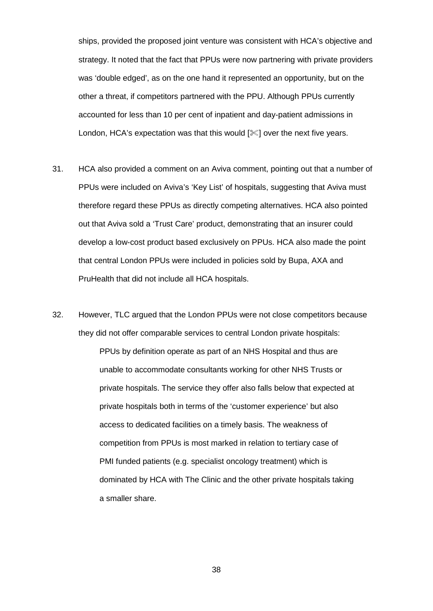ships, provided the proposed joint venture was consistent with HCA's objective and strategy. It noted that the fact that PPUs were now partnering with private providers was 'double edged', as on the one hand it represented an opportunity, but on the other a threat, if competitors partnered with the PPU. Although PPUs currently accounted for less than 10 per cent of inpatient and day-patient admissions in London, HCA's expectation was that this would  $[\mathcal{K}]$  over the next five years.

- <span id="page-37-0"></span>31. HCA also provided a comment on an Aviva comment, pointing out that a number of PPUs were included on Aviva's 'Key List' of hospitals, suggesting that Aviva must therefore regard these PPUs as directly competing alternatives. HCA also pointed out that Aviva sold a 'Trust Care' product, demonstrating that an insurer could develop a low-cost product based exclusively on PPUs. HCA also made the point that central London PPUs were included in policies sold by Bupa, AXA and PruHealth that did not include all HCA hospitals.
- 32. However, TLC argued that the London PPUs were not close competitors because they did not offer comparable services to central London private hospitals: PPUs by definition operate as part of an NHS Hospital and thus are unable to accommodate consultants working for other NHS Trusts or private hospitals. The service they offer also falls below that expected at private hospitals both in terms of the 'customer experience' but also access to dedicated facilities on a timely basis. The weakness of competition from PPUs is most marked in relation to tertiary case of PMI funded patients (e.g. specialist oncology treatment) which is dominated by HCA with The Clinic and the other private hospitals taking a smaller share.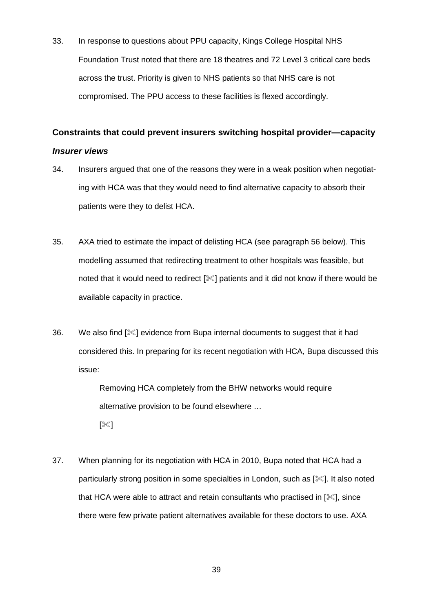33. In response to questions about PPU capacity, Kings College Hospital NHS Foundation Trust noted that there are 18 theatres and 72 Level 3 critical care beds across the trust. Priority is given to NHS patients so that NHS care is not compromised. The PPU access to these facilities is flexed accordingly.

# **Constraints that could prevent insurers switching hospital provider—capacity** *Insurer views*

- 34. Insurers argued that one of the reasons they were in a weak position when negotiating with HCA was that they would need to find alternative capacity to absorb their patients were they to delist HCA.
- 35. AXA tried to estimate the impact of delisting HCA (see paragraph [56](#page-43-0) below). This modelling assumed that redirecting treatment to other hospitals was feasible, but noted that it would need to redirect  $[\mathcal{K}]$  patients and it did not know if there would be available capacity in practice.
- 36. We also find [ $\ll$ ] evidence from Bupa internal documents to suggest that it had considered this. In preparing for its recent negotiation with HCA, Bupa discussed this issue:

Removing HCA completely from the BHW networks would require alternative provision to be found elsewhere …

[ $\mathscr{\mathscr{K}}]$ 

<span id="page-38-0"></span>37. When planning for its negotiation with HCA in 2010, Bupa noted that HCA had a particularly strong position in some specialties in London, such as  $[\mathcal{K}]$ . It also noted that HCA were able to attract and retain consultants who practised in  $[\mathcal{K}]$ , since there were few private patient alternatives available for these doctors to use. AXA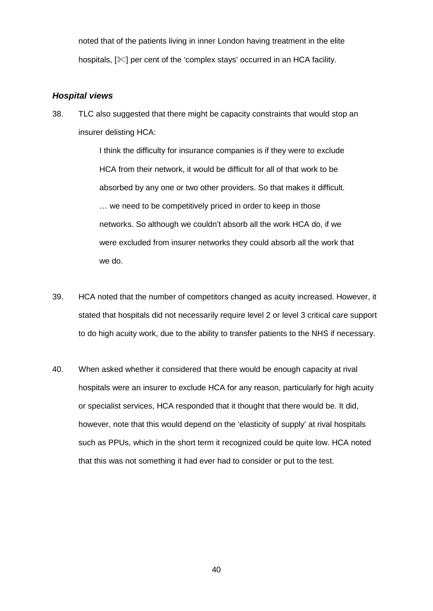noted that of the patients living in inner London having treatment in the elite hospitals,  $[\mathcal{K}]$  per cent of the 'complex stays' occurred in an HCA facility.

### *Hospital views*

38. TLC also suggested that there might be capacity constraints that would stop an insurer delisting HCA:

> I think the difficulty for insurance companies is if they were to exclude HCA from their network, it would be difficult for all of that work to be absorbed by any one or two other providers. So that makes it difficult. … we need to be competitively priced in order to keep in those networks. So although we couldn't absorb all the work HCA do, if we were excluded from insurer networks they could absorb all the work that we do.

- 39. HCA noted that the number of competitors changed as acuity increased. However, it stated that hospitals did not necessarily require level 2 or level 3 critical care support to do high acuity work, due to the ability to transfer patients to the NHS if necessary.
- 40. When asked whether it considered that there would be enough capacity at rival hospitals were an insurer to exclude HCA for any reason, particularly for high acuity or specialist services, HCA responded that it thought that there would be. It did, however, note that this would depend on the 'elasticity of supply' at rival hospitals such as PPUs, which in the short term it recognized could be quite low. HCA noted that this was not something it had ever had to consider or put to the test.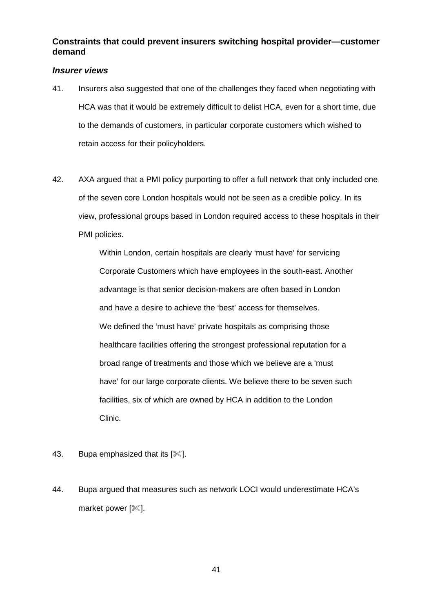# **Constraints that could prevent insurers switching hospital provider—customer demand**

### *Insurer views*

- 41. Insurers also suggested that one of the challenges they faced when negotiating with HCA was that it would be extremely difficult to delist HCA, even for a short time, due to the demands of customers, in particular corporate customers which wished to retain access for their policyholders.
- <span id="page-40-0"></span>42. AXA argued that a PMI policy purporting to offer a full network that only included one of the seven core London hospitals would not be seen as a credible policy. In its view, professional groups based in London required access to these hospitals in their PMI policies.

Within London, certain hospitals are clearly 'must have' for servicing Corporate Customers which have employees in the south-east. Another advantage is that senior decision-makers are often based in London and have a desire to achieve the 'best' access for themselves. We defined the 'must have' private hospitals as comprising those healthcare facilities offering the strongest professional reputation for a broad range of treatments and those which we believe are a 'must have' for our large corporate clients. We believe there to be seven such facilities, six of which are owned by HCA in addition to the London Clinic.

- 43. Bupa emphasized that its  $[\mathcal{K}]$ .
- 44. Bupa argued that measures such as network LOCI would underestimate HCA's market power  $[\mathcal{K}]$ .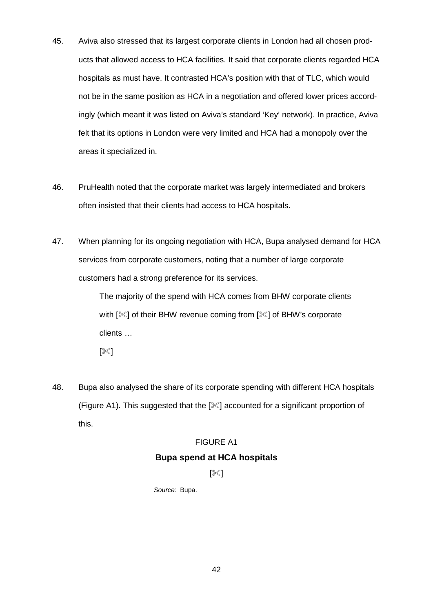- 45. Aviva also stressed that its largest corporate clients in London had all chosen products that allowed access to HCA facilities. It said that corporate clients regarded HCA hospitals as must have. It contrasted HCA's position with that of TLC, which would not be in the same position as HCA in a negotiation and offered lower prices accordingly (which meant it was listed on Aviva's standard 'Key' network). In practice, Aviva felt that its options in London were very limited and HCA had a monopoly over the areas it specialized in.
- 46. PruHealth noted that the corporate market was largely intermediated and brokers often insisted that their clients had access to HCA hospitals.
- 47. When planning for its ongoing negotiation with HCA, Bupa analysed demand for HCA services from corporate customers, noting that a number of large corporate customers had a strong preference for its services.

The majority of the spend with HCA comes from BHW corporate clients with  $[\mathcal{K}]$  of their BHW revenue coming from  $[\mathcal{K}]$  of BHW's corporate clients …

 $[\mathbb{K}]$ 

<span id="page-41-0"></span>48. Bupa also analysed the share of its corporate spending with different HCA hospitals (Figure A1). This suggested that the [] accounted for a significant proportion of this.

### FIGURE A1

### **Bupa spend at HCA hospitals**

### $[\mathbb{X}]$

*Source:* Bupa.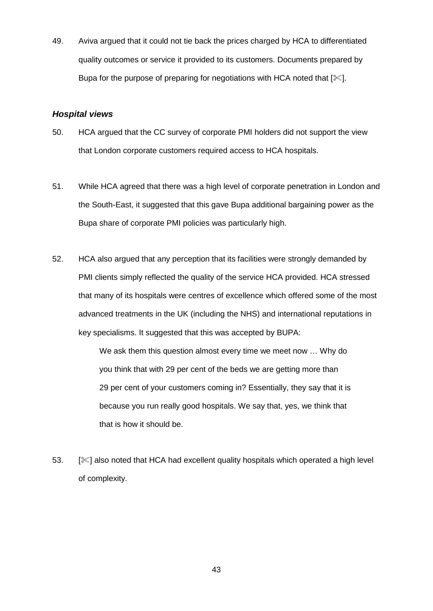49. Aviva argued that it could not tie back the prices charged by HCA to differentiated quality outcomes or service it provided to its customers. Documents prepared by Bupa for the purpose of preparing for negotiations with HCA noted that  $[\mathcal{K}]$ .

### *Hospital views*

- <span id="page-42-0"></span>50. HCA argued that the CC survey of corporate PMI holders did not support the view that London corporate customers required access to HCA hospitals.
- 51. While HCA agreed that there was a high level of corporate penetration in London and the South-East, it suggested that this gave Bupa additional bargaining power as the Bupa share of corporate PMI policies was particularly high.
- <span id="page-42-1"></span>52. HCA also argued that any perception that its facilities were strongly demanded by PMI clients simply reflected the quality of the service HCA provided. HCA stressed that many of its hospitals were centres of excellence which offered some of the most advanced treatments in the UK (including the NHS) and international reputations in key specialisms. It suggested that this was accepted by BUPA:

We ask them this question almost every time we meet now … Why do you think that with 29 per cent of the beds we are getting more than 29 per cent of your customers coming in? Essentially, they say that it is because you run really good hospitals. We say that, yes, we think that that is how it should be.

53. [ $\ll$ ] also noted that HCA had excellent quality hospitals which operated a high level of complexity.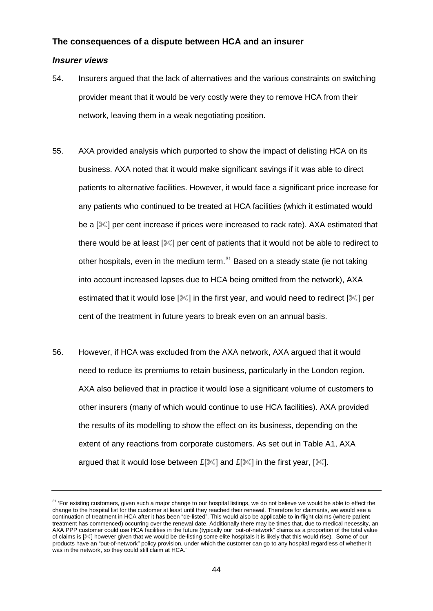#### **The consequences of a dispute between HCA and an insurer**

#### *Insurer views*

- 54. Insurers argued that the lack of alternatives and the various constraints on switching provider meant that it would be very costly were they to remove HCA from their network, leaving them in a weak negotiating position.
- 55. AXA provided analysis which purported to show the impact of delisting HCA on its business. AXA noted that it would make significant savings if it was able to direct patients to alternative facilities. However, it would face a significant price increase for any patients who continued to be treated at HCA facilities (which it estimated would be a  $[\mathcal{K}]$  per cent increase if prices were increased to rack rate). AXA estimated that there would be at least  $[\mathscr{K}]$  per cent of patients that it would not be able to redirect to other hospitals, even in the medium term.<sup>[31](#page-43-1)</sup> Based on a steady state (ie not taking into account increased lapses due to HCA being omitted from the network), AXA estimated that it would lose  $[\mathcal{K}]$  in the first year, and would need to redirect  $[\mathcal{K}]$  per cent of the treatment in future years to break even on an annual basis.
- <span id="page-43-0"></span>56. However, if HCA was excluded from the AXA network, AXA argued that it would need to reduce its premiums to retain business, particularly in the London region. AXA also believed that in practice it would lose a significant volume of customers to other insurers (many of which would continue to use HCA facilities). AXA provided the results of its modelling to show the effect on its business, depending on the extent of any reactions from corporate customers. As set out in Table A1, AXA argued that it would lose between  $E[\mathcal{K}]$  and  $E[\mathcal{K}]$  in the first year,  $[\mathcal{K}]$ .

<span id="page-43-1"></span><sup>&</sup>lt;sup>31</sup> 'For existing customers, given such a major change to our hospital listings, we do not believe we would be able to effect the change to the hospital list for the customer at least until they reached their renewal. Therefore for claimants, we would see a continuation of treatment in HCA after it has been "de-listed". This would also be applicable to in-flight claims (where patient treatment has commenced) occurring over the renewal date. Additionally there may be times that, due to medical necessity, an AXA PPP customer could use HCA facilities in the future (typically our "out-of-network" claims as a proportion of the total value of claims is [] however given that we would be de-listing some elite hospitals it is likely that this would rise). Some of our products have an "out-of-network" policy provision, under which the customer can go to any hospital regardless of whether it was in the network, so they could still claim at HCA.'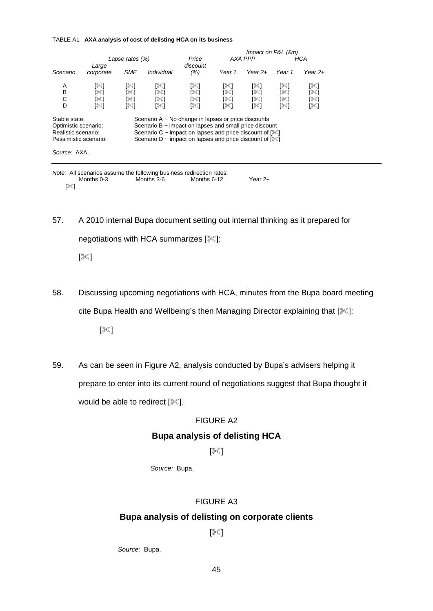#### TABLE A1 **AXA analysis of cost of delisting HCA on its business**

|                           |                                                                                                       |                          |                          | Impact on P&L (£m)             |                          |                                                          |                                                                                                                                                                                                                 |  |
|---------------------------|-------------------------------------------------------------------------------------------------------|--------------------------|--------------------------|--------------------------------|--------------------------|----------------------------------------------------------|-----------------------------------------------------------------------------------------------------------------------------------------------------------------------------------------------------------------|--|
| Lapse rates $(\%)$        |                                                                                                       |                          | Price                    |                                | AXA PPP                  |                                                          | HCA                                                                                                                                                                                                             |  |
| Large<br>corporate        | <b>SME</b>                                                                                            | Individual               | discount<br>(% )         | Year 1                         | Year $2+$                | Year 1                                                   | Year 2+                                                                                                                                                                                                         |  |
| [≋]<br>[≫ิ]<br>[≋]<br>[≋] | [≫]<br> % <br>[%]<br>[%]                                                                              | [%]<br>[%]<br>[≋]<br>[≋] | [%]<br>[≪]<br>[≋]<br>[≋] | [≋]<br>[ $\ll$ ]<br>[≪]<br>[≪] | [%]<br>[%]<br>[% <br>[%] | [‰]<br>[ᢟ]<br>[%]<br>[≋]                                 | [≫]<br>[ᢟ]<br>[%]<br>[%]                                                                                                                                                                                        |  |
|                           |                                                                                                       |                          |                          |                                |                          |                                                          |                                                                                                                                                                                                                 |  |
|                           | Stable state:<br>Optimistic scenario:<br>Realistic scenario:<br>Pessimistic scenario:<br>Source: AXA. |                          |                          |                                |                          | Scenario $A \sim No$ change in lapses or price discounts | Scenario $B \sim$ impact on lapses and small price discount<br>Scenario C $\sim$ impact on lapses and price discount of $\lll$<br>Scenario D ~ impact on lapses and price discount of $\lceil\mathcal{K}\rceil$ |  |

|     | Note: All scenarios assume the following business redirection rates: |            |             |         |
|-----|----------------------------------------------------------------------|------------|-------------|---------|
|     | Months 0-3                                                           | Months 3-6 | Months 6-12 | Year 2+ |
| ו≫ו |                                                                      |            |             |         |

57. A 2010 internal Bupa document setting out internal thinking as it prepared for negotiations with HCA summarizes [ $\ll$ ]:

[ $\mathbb{X}]$ 

58. Discussing upcoming negotiations with HCA, minutes from the Bupa board meeting cite Bupa Health and Wellbeing's then Managing Director explaining that [ $\mathcal{K}$ ]:

[ $\mathbb{K}$ ]

59. As can be seen in Figure A2, analysis conducted by Bupa's advisers helping it prepare to enter into its current round of negotiations suggest that Bupa thought it would be able to redirect  $[\mathcal{K}]$ .

### FIGURE A2

## **Bupa analysis of delisting HCA**

### $[\mathbb{X}]$

*Source:* Bupa.

### FIGURE A3

### **Bupa analysis of delisting on corporate clients**

### [ $\mathbb{X}$ ]

*Source:* Bupa.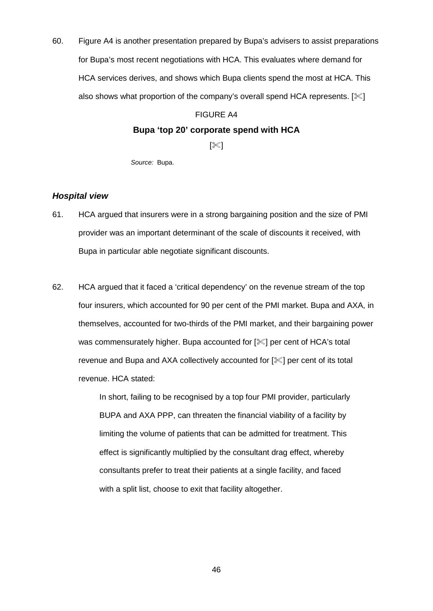<span id="page-45-0"></span>60. Figure A4 is another presentation prepared by Bupa's advisers to assist preparations for Bupa's most recent negotiations with HCA. This evaluates where demand for HCA services derives, and shows which Bupa clients spend the most at HCA. This also shows what proportion of the company's overall spend HCA represents.  $[\mathcal{K}]$ 

# FIGURE A4

### **Bupa 'top 20' corporate spend with HCA**

 $[\mathbb{X}]$ 

*Source:* Bupa.

### *Hospital view*

- 61. HCA argued that insurers were in a strong bargaining position and the size of PMI provider was an important determinant of the scale of discounts it received, with Bupa in particular able negotiate significant discounts.
- <span id="page-45-1"></span>62. HCA argued that it faced a 'critical dependency' on the revenue stream of the top four insurers, which accounted for 90 per cent of the PMI market. Bupa and AXA, in themselves, accounted for two-thirds of the PMI market, and their bargaining power was commensurately higher. Bupa accounted for  $[$ [I] per cent of HCA's total revenue and Bupa and AXA collectively accounted for [ $\ll$ ] per cent of its total revenue. HCA stated:

In short, failing to be recognised by a top four PMI provider, particularly BUPA and AXA PPP, can threaten the financial viability of a facility by limiting the volume of patients that can be admitted for treatment. This effect is significantly multiplied by the consultant drag effect, whereby consultants prefer to treat their patients at a single facility, and faced with a split list, choose to exit that facility altogether.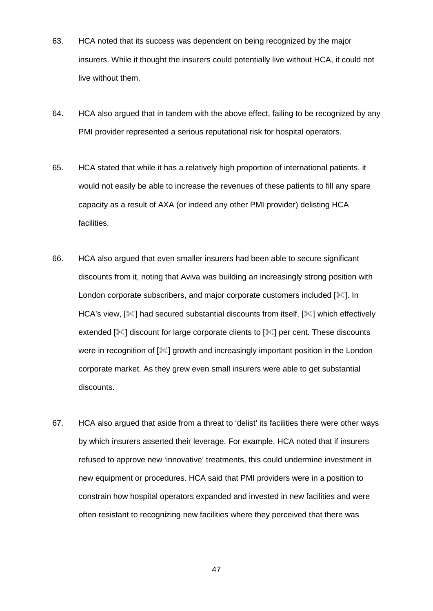- 63. HCA noted that its success was dependent on being recognized by the major insurers. While it thought the insurers could potentially live without HCA, it could not live without them.
- 64. HCA also argued that in tandem with the above effect, failing to be recognized by any PMI provider represented a serious reputational risk for hospital operators.
- 65. HCA stated that while it has a relatively high proportion of international patients, it would not easily be able to increase the revenues of these patients to fill any spare capacity as a result of AXA (or indeed any other PMI provider) delisting HCA facilities.
- 66. HCA also argued that even smaller insurers had been able to secure significant discounts from it, noting that Aviva was building an increasingly strong position with London corporate subscribers, and major corporate customers included  $[\&]$ . In HCA's view,  $[\mathcal{K}]$  had secured substantial discounts from itself,  $[\mathcal{K}]$  which effectively extended  $\ll$  discount for large corporate clients to  $\ll$  per cent. These discounts were in recognition of  $[\mathcal{K}]$  growth and increasingly important position in the London corporate market. As they grew even small insurers were able to get substantial discounts.
- <span id="page-46-0"></span>67. HCA also argued that aside from a threat to 'delist' its facilities there were other ways by which insurers asserted their leverage. For example, HCA noted that if insurers refused to approve new 'innovative' treatments, this could undermine investment in new equipment or procedures. HCA said that PMI providers were in a position to constrain how hospital operators expanded and invested in new facilities and were often resistant to recognizing new facilities where they perceived that there was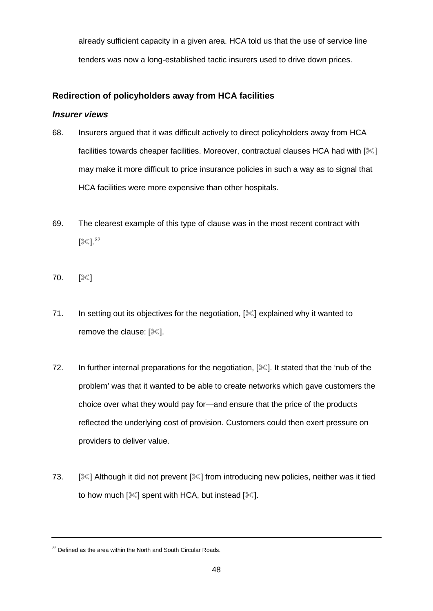already sufficient capacity in a given area. HCA told us that the use of service line tenders was now a long-established tactic insurers used to drive down prices.

# **Redirection of policyholders away from HCA facilities**

### *Insurer views*

- 68. Insurers argued that it was difficult actively to direct policyholders away from HCA facilities towards cheaper facilities. Moreover, contractual clauses HCA had with  $[\mathcal{K}]$ may make it more difficult to price insurance policies in such a way as to signal that HCA facilities were more expensive than other hospitals.
- 69. The clearest example of this type of clause was in the most recent contract with [ᢟ].<sup>[32](#page-47-0)</sup>
- 70.  $[$   $[$
- 71. In setting out its objectives for the negotiation,  $[\mathcal{K}]$  explained why it wanted to remove the clause:  $[%]$ .
- 72. In further internal preparations for the negotiation,  $[\mathcal{K}]$ . It stated that the 'nub of the problem' was that it wanted to be able to create networks which gave customers the choice over what they would pay for—and ensure that the price of the products reflected the underlying cost of provision. Customers could then exert pressure on providers to deliver value.
- 73. [IM] Although it did not prevent [IM] from introducing new policies, neither was it tied to how much  $[\mathcal{K}]$  spent with HCA, but instead  $[\mathcal{K}]$ .

<span id="page-47-0"></span> $32$  Defined as the area within the North and South Circular Roads.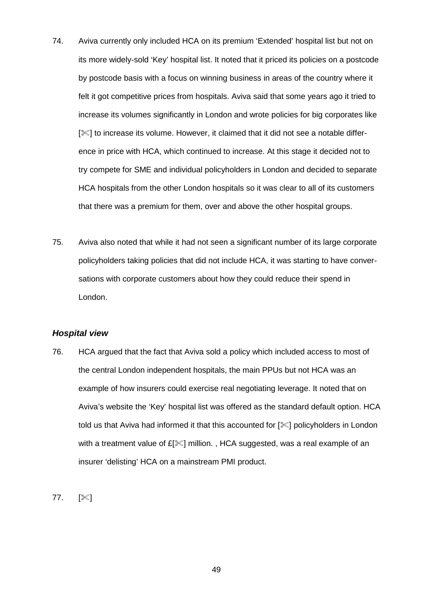- 74. Aviva currently only included HCA on its premium 'Extended' hospital list but not on its more widely-sold 'Key' hospital list. It noted that it priced its policies on a postcode by postcode basis with a focus on winning business in areas of the country where it felt it got competitive prices from hospitals. Aviva said that some years ago it tried to increase its volumes significantly in London and wrote policies for big corporates like [ $\%$ ] to increase its volume. However, it claimed that it did not see a notable difference in price with HCA, which continued to increase. At this stage it decided not to try compete for SME and individual policyholders in London and decided to separate HCA hospitals from the other London hospitals so it was clear to all of its customers that there was a premium for them, over and above the other hospital groups.
- 75. Aviva also noted that while it had not seen a significant number of its large corporate policyholders taking policies that did not include HCA, it was starting to have conversations with corporate customers about how they could reduce their spend in London.

#### *Hospital view*

- <span id="page-48-0"></span>76. HCA argued that the fact that Aviva sold a policy which included access to most of the central London independent hospitals, the main PPUs but not HCA was an example of how insurers could exercise real negotiating leverage. It noted that on Aviva's website the 'Key' hospital list was offered as the standard default option. HCA told us that Aviva had informed it that this accounted for  $\sqrt{2}$  policyholders in London with a treatment value of  $E[\mathcal{K}]$  million., HCA suggested, was a real example of an insurer 'delisting' HCA on a mainstream PMI product.
- 77.  $[$  8]